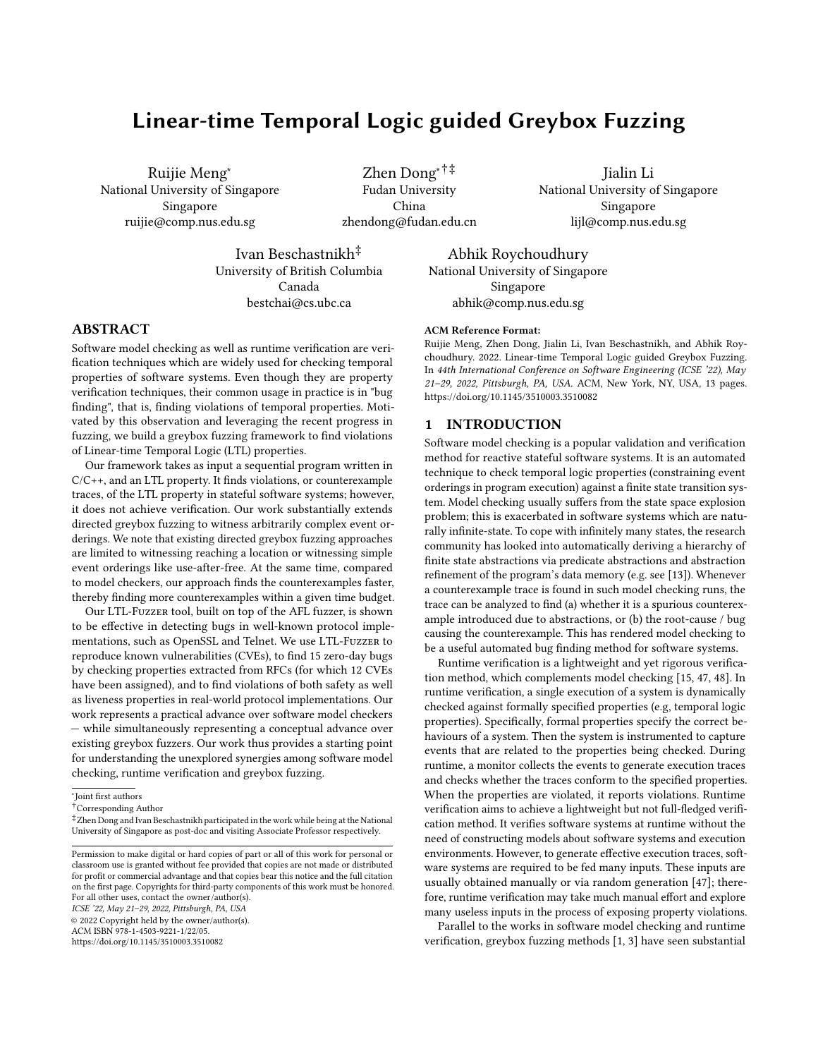# Linear-time Temporal Logic guided Greybox Fuzzing

Ruijie Meng<sup>∗</sup> National University of Singapore Singapore ruijie@comp.nus.edu.sg

Zhen Dong∗†‡ Fudan University China zhendong@fudan.edu.cn

Jialin Li National University of Singapore Singapore lijl@comp.nus.edu.sg

Ivan Beschastnikh‡ University of British Columbia Canada bestchai@cs.ubc.ca

Abhik Roychoudhury National University of Singapore Singapore abhik@comp.nus.edu.sg

# ABSTRACT

Software model checking as well as runtime verification are verification techniques which are widely used for checking temporal properties of software systems. Even though they are property verification techniques, their common usage in practice is in "bug finding", that is, finding violations of temporal properties. Motivated by this observation and leveraging the recent progress in fuzzing, we build a greybox fuzzing framework to find violations of Linear-time Temporal Logic (LTL) properties.

Our framework takes as input a sequential program written in C/C++, and an LTL property. It finds violations, or counterexample traces, of the LTL property in stateful software systems; however, it does not achieve verification. Our work substantially extends directed greybox fuzzing to witness arbitrarily complex event orderings. We note that existing directed greybox fuzzing approaches are limited to witnessing reaching a location or witnessing simple event orderings like use-after-free. At the same time, compared to model checkers, our approach finds the counterexamples faster, thereby finding more counterexamples within a given time budget.

Our LTL-Fuzzer tool, built on top of the AFL fuzzer, is shown to be effective in detecting bugs in well-known protocol implementations, such as OpenSSL and Telnet. We use LTL-Fuzzer to reproduce known vulnerabilities (CVEs), to find 15 zero-day bugs by checking properties extracted from RFCs (for which 12 CVEs have been assigned), and to find violations of both safety as well as liveness properties in real-world protocol implementations. Our work represents a practical advance over software model checkers — while simultaneously representing a conceptual advance over existing greybox fuzzers. Our work thus provides a starting point for understanding the unexplored synergies among software model checking, runtime verification and greybox fuzzing.

ICSE '22, May 21–29, 2022, Pittsburgh, PA, USA

© 2022 Copyright held by the owner/author(s).

ACM ISBN 978-1-4503-9221-1/22/05.

https://doi.org/10.1145/3510003.3510082

#### ACM Reference Format:

Ruijie Meng, Zhen Dong, Jialin Li, Ivan Beschastnikh, and Abhik Roychoudhury. 2022. Linear-time Temporal Logic guided Greybox Fuzzing. In 44th International Conference on Software Engineering (ICSE '22), May 21–29, 2022, Pittsburgh, PA, USA. ACM, New York, NY, USA, 13 pages. https://doi.org/10.1145/3510003.3510082

#### 1 INTRODUCTION

Software model checking is a popular validation and verification method for reactive stateful software systems. It is an automated technique to check temporal logic properties (constraining event orderings in program execution) against a finite state transition system. Model checking usually suffers from the state space explosion problem; this is exacerbated in software systems which are naturally infinite-state. To cope with infinitely many states, the research community has looked into automatically deriving a hierarchy of finite state abstractions via predicate abstractions and abstraction refinement of the program's data memory (e.g. see [13]). Whenever a counterexample trace is found in such model checking runs, the trace can be analyzed to find (a) whether it is a spurious counterexample introduced due to abstractions, or (b) the root-cause / bug causing the counterexample. This has rendered model checking to be a useful automated bug finding method for software systems.

Runtime verification is a lightweight and yet rigorous verification method, which complements model checking [15, 47, 48]. In runtime verification, a single execution of a system is dynamically checked against formally specified properties (e.g, temporal logic properties). Specifically, formal properties specify the correct behaviours of a system. Then the system is instrumented to capture events that are related to the properties being checked. During runtime, a monitor collects the events to generate execution traces and checks whether the traces conform to the specified properties. When the properties are violated, it reports violations. Runtime verification aims to achieve a lightweight but not full-fledged verification method. It verifies software systems at runtime without the need of constructing models about software systems and execution environments. However, to generate effective execution traces, software systems are required to be fed many inputs. These inputs are usually obtained manually or via random generation [47]; therefore, runtime verification may take much manual effort and explore many useless inputs in the process of exposing property violations.

Parallel to the works in software model checking and runtime verification, greybox fuzzing methods [1, 3] have seen substantial

<sup>∗</sup> Joint first authors

<sup>†</sup>Corresponding Author

<sup>‡</sup>Zhen Dong and Ivan Beschastnikh participated in the work while being at the National University of Singapore as post-doc and visiting Associate Professor respectively.

Permission to make digital or hard copies of part or all of this work for personal or classroom use is granted without fee provided that copies are not made or distributed for profit or commercial advantage and that copies bear this notice and the full citation on the first page. Copyrights for third-party components of this work must be honored. For all other uses, contact the owner/author(s).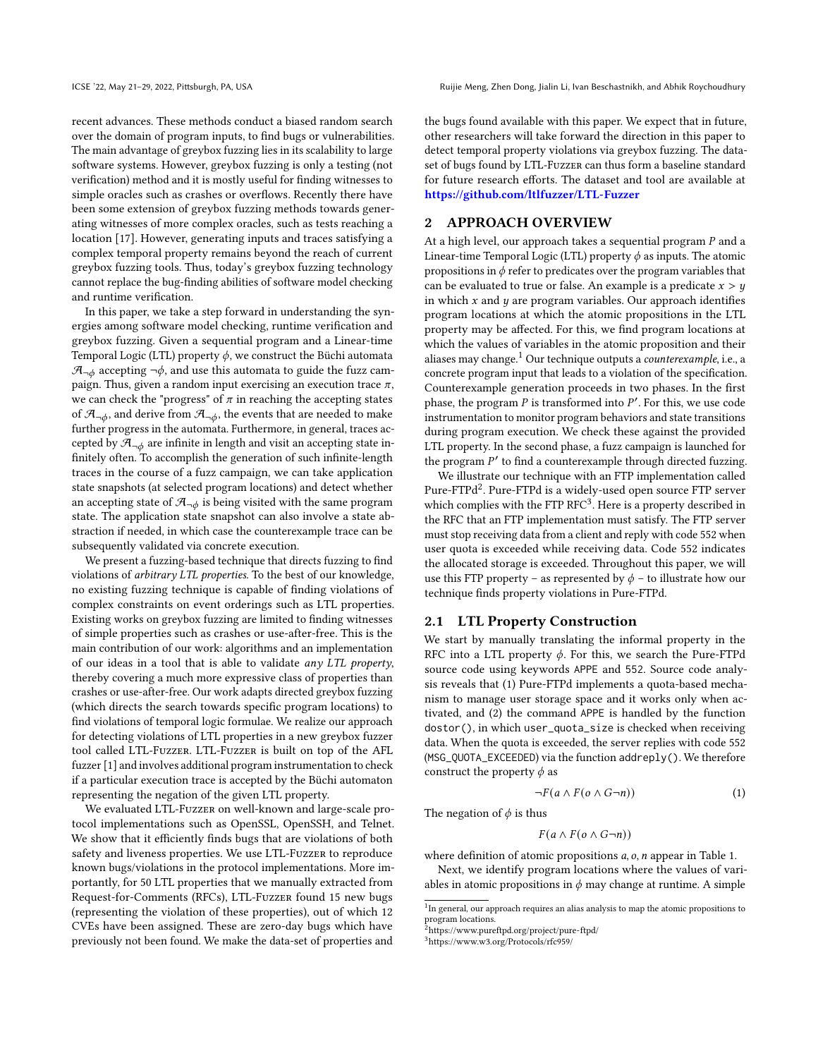recent advances. These methods conduct a biased random search over the domain of program inputs, to find bugs or vulnerabilities. The main advantage of greybox fuzzing lies in its scalability to large software systems. However, greybox fuzzing is only a testing (not verification) method and it is mostly useful for finding witnesses to simple oracles such as crashes or overflows. Recently there have been some extension of greybox fuzzing methods towards generating witnesses of more complex oracles, such as tests reaching a location [17]. However, generating inputs and traces satisfying a complex temporal property remains beyond the reach of current greybox fuzzing tools. Thus, today's greybox fuzzing technology cannot replace the bug-finding abilities of software model checking and runtime verification.

In this paper, we take a step forward in understanding the synergies among software model checking, runtime verification and greybox fuzzing. Given a sequential program and a Linear-time Temporal Logic (LTL) property  $\phi$ , we construct the Büchi automata  $\mathcal{A}_{\neg \phi}$  accepting  $\neg \phi$ , and use this automata to guide the fuzz campaign. Thus, given a random input exercising an execution trace  $\pi$ , we can check the "progress" of  $\pi$  in reaching the accepting states of  $\mathcal{A}_{\neg \phi}$ , and derive from  $\mathcal{A}_{\neg \phi}$ , the events that are needed to make further progress in the automata. Furthermore, in general, traces accepted by  $\mathcal{A}_{\neg\phi}$  are infinite in length and visit an accepting state infinitely often. To accomplish the generation of such infinite-length traces in the course of a fuzz campaign, we can take application state snapshots (at selected program locations) and detect whether an accepting state of  $\mathcal{A}_{\neg \phi}$  is being visited with the same program state. The application state snapshot can also involve a state abstraction if needed, in which case the counterexample trace can be subsequently validated via concrete execution.

We present a fuzzing-based technique that directs fuzzing to find violations of arbitrary LTL properties. To the best of our knowledge, no existing fuzzing technique is capable of finding violations of complex constraints on event orderings such as LTL properties. Existing works on greybox fuzzing are limited to finding witnesses of simple properties such as crashes or use-after-free. This is the main contribution of our work: algorithms and an implementation of our ideas in a tool that is able to validate any LTL property, thereby covering a much more expressive class of properties than crashes or use-after-free. Our work adapts directed greybox fuzzing (which directs the search towards specific program locations) to find violations of temporal logic formulae. We realize our approach for detecting violations of LTL properties in a new greybox fuzzer tool called LTL-Fuzzer. LTL-Fuzzer is built on top of the AFL fuzzer [1] and involves additional program instrumentation to check if a particular execution trace is accepted by the Büchi automaton representing the negation of the given LTL property.

We evaluated LTL-Fuzzer on well-known and large-scale protocol implementations such as OpenSSL, OpenSSH, and Telnet. We show that it efficiently finds bugs that are violations of both safety and liveness properties. We use LTL-Fuzzer to reproduce known bugs/violations in the protocol implementations. More importantly, for 50 LTL properties that we manually extracted from Request-for-Comments (RFCs), LTL-Fuzzer found 15 new bugs (representing the violation of these properties), out of which 12 CVEs have been assigned. These are zero-day bugs which have previously not been found. We make the data-set of properties and

ICSE '22, May 21–29, 2022, Pittsburgh, PA, USA Ruijie Meng, Zhen Dong, Jialin Li, Ivan Beschastnikh, and Abhik Roychoudhury

the bugs found available with this paper. We expect that in future, other researchers will take forward the direction in this paper to detect temporal property violations via greybox fuzzing. The dataset of bugs found by LTL-Fuzzer can thus form a baseline standard for future research efforts. The dataset and tool are available at https://github.com/ltlfuzzer/LTL-Fuzzer

# 2 APPROACH OVERVIEW

At a high level, our approach takes a sequential program  $P$  and a Linear-time Temporal Logic (LTL) property  $\phi$  as inputs. The atomic propositions in  $\phi$  refer to predicates over the program variables that can be evaluated to true or false. An example is a predicate  $x > y$ in which  $x$  and  $y$  are program variables. Our approach identifies program locations at which the atomic propositions in the LTL property may be affected. For this, we find program locations at which the values of variables in the atomic proposition and their aliases may change.<sup>1</sup> Our technique outputs a *counterexample*, i.e., a concrete program input that leads to a violation of the specification. Counterexample generation proceeds in two phases. In the first phase, the program  $P$  is transformed into  $P'$ . For this, we use code instrumentation to monitor program behaviors and state transitions during program execution. We check these against the provided LTL property. In the second phase, a fuzz campaign is launched for the program P' to find a counterexample through directed fuzzing.

We illustrate our technique with an FTP implementation called Pure-FTPd<sup>2</sup>. Pure-FTPd is a widely-used open source FTP server which complies with the FTP RFC $3$ . Here is a property described in the RFC that an FTP implementation must satisfy. The FTP server must stop receiving data from a client and reply with code 552 when user quota is exceeded while receiving data. Code 552 indicates the allocated storage is exceeded. Throughout this paper, we will use this FTP property – as represented by  $\phi$  – to illustrate how our technique finds property violations in Pure-FTPd.

#### 2.1 LTL Property Construction

We start by manually translating the informal property in the RFC into a LTL property  $\phi$ . For this, we search the Pure-FTPd source code using keywords APPE and 552. Source code analysis reveals that (1) Pure-FTPd implements a quota-based mechanism to manage user storage space and it works only when activated, and (2) the command APPE is handled by the function dostor(), in which user\_quota\_size is checked when receiving data. When the quota is exceeded, the server replies with code 552 (MSG\_QUOTA\_EXCEEDED) via the function addreply(). We therefore construct the property  $\phi$  as

$$
\neg F(a \wedge F(o \wedge G\neg n))\tag{1}
$$

The negation of  $\phi$  is thus

 $F(a \wedge F(o \wedge G\neg n))$ 

where definition of atomic propositions  $a$ ,  $o$ ,  $n$  appear in Table 1.

Next, we identify program locations where the values of variables in atomic propositions in  $\phi$  may change at runtime. A simple

<sup>&</sup>lt;sup>1</sup>In general, our approach requires an alias analysis to map the atomic propositions to

program locations.<br><sup>2</sup>https://www.pureftpd.org/project/pure-ftpd/

<sup>3</sup>https://www.w3.org/Protocols/rfc959/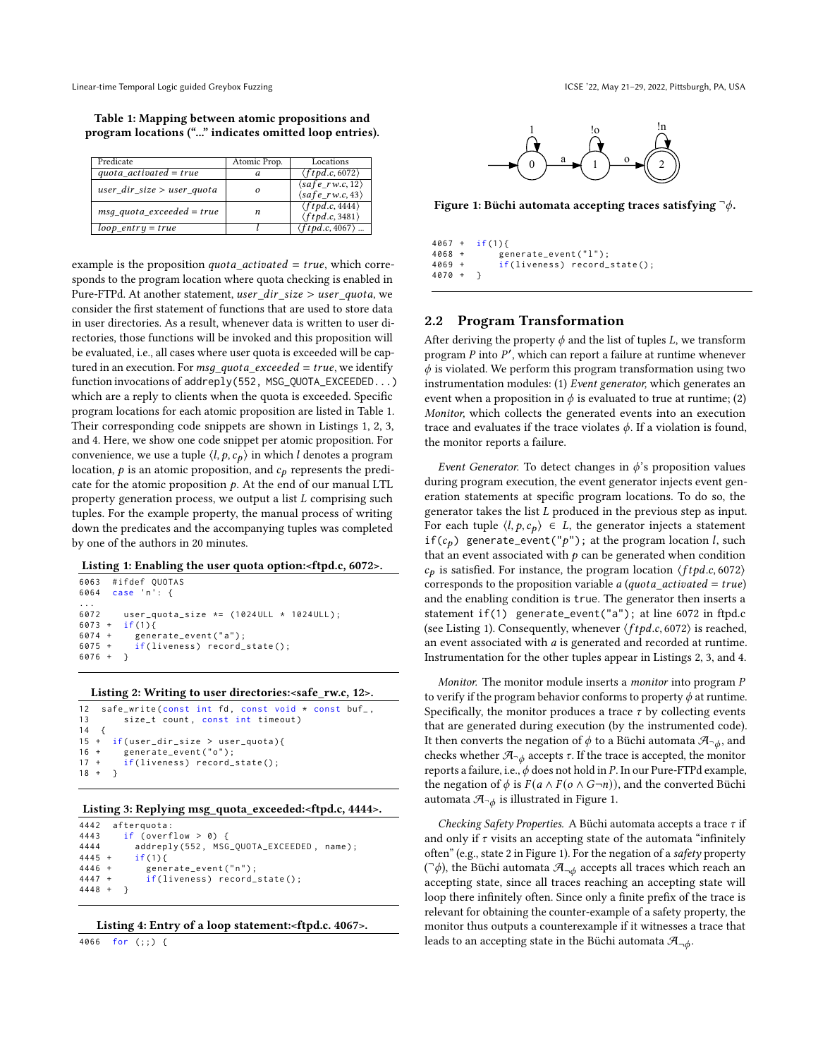Table 1: Mapping between atomic propositions and program locations ("..." indicates omitted loop entries).

| Predicate                     | Atomic Prop. | Locations                                                            |
|-------------------------------|--------------|----------------------------------------------------------------------|
| quota $activated = true$      | a            | $\langle ftpd.c, 6072 \rangle$                                       |
| user dir size $>$ user quota  |              | $\langle safe_r w.c, 12 \rangle$<br>$\langle safe\_rw.c, 43 \rangle$ |
| $msg\_quota\_exceeded = true$ | n            | $\langle ftpd.c, 4444 \rangle$<br>$\langle ftpd.c, 3481 \rangle$     |
| $loop$ entry = true           |              | $\langle ftpd.c, 4067 \rangle$                                       |

example is the proposition  $\dot{quota}\_activated = true$ , which corresponds to the program location where quota checking is enabled in Pure-FTPd. At another statement, user\_dir\_size > user\_quota, we consider the first statement of functions that are used to store data in user directories. As a result, whenever data is written to user directories, those functions will be invoked and this proposition will be evaluated, i.e., all cases where user quota is exceeded will be captured in an execution. For  $msg\_ quota\_exceeded = true$ , we identify function invocations of addreply(552, MSG\_QUOTA\_EXCEEDED...) which are a reply to clients when the quota is exceeded. Specific program locations for each atomic proposition are listed in Table 1. Their corresponding code snippets are shown in Listings 1, 2, 3, and 4. Here, we show one code snippet per atomic proposition. For convenience, we use a tuple  $\langle l, p, c_p \rangle$  in which *l* denotes a program location,  $p$  is an atomic proposition, and  $c_p$  represents the predicate for the atomic proposition  $p$ . At the end of our manual LTL property generation process, we output a list  $L$  comprising such tuples. For the example property, the manual process of writing down the predicates and the accompanying tuples was completed by one of the authors in 20 minutes.

#### Listing 1: Enabling the user quota option:<ftpd.c, 6072>.

```
6063 #ifdef QUOTAS<br>6064 case 'n': {
        case 'n': {
...
6072 user_quota_size *= (1024ULL * 1024ULL);<br>6073 + if(1){
6073 + i f(1)<br>6074 + gene
6074 + generate_event("a");<br>6075 + if(liveness) record_
               if(liveness) record\_state();
6076 +}
```
#### Listing 2: Writing to user directories:<safe\_rw.c, 12>.

```
12 safe_write (const int fd, const void * const buf_,
13 size_t count, const int timeout)<br>14 {
14 {<br>15 ++ if(user_dir_size > user_quota){<br>+ generate event("o"):
16 + generate_event("0");<br>17 + if(liveness) record_
          if(Iiveness) record state():
18 + \}
```
#### Listing 3: Replying msg\_quota\_exceeded:<ftpd.c, 4444>.

```
4442 afterquota :
4443 if (overflow > 0) {<br>4444 addreply(552. MSG
4444 addreply (552, MSG_QUOTA_EXCEEDED, name);<br>4445 + if(1){
             if (1)4446 + generate_event("n");<br>4447 + if(liveness) record
          if(liveness) record\_state();4448 + }
```

```
Listing 4: Entry of a loop statement:<ftpd.c. 4067>.
```
4066 for (;;) {



Figure 1: Büchi automata accepting traces satisfying  $\neg \phi$ .

 $4067 + if (1)$ <br> $4068 + q$ 4068 + generate\_event ("1");<br>4069 + if (liveness) record  $if(liveness) record\_state()$ ; 4070 + }

# 2.2 Program Transformation

After deriving the property  $\phi$  and the list of tuples L, we transform program  $P$  into  $P'$ , which can report a failure at runtime whenever  $\phi$  is violated. We perform this program transformation using two instrumentation modules: (1) Event generator, which generates an event when a proposition in  $\phi$  is evaluated to true at runtime; (2) Monitor, which collects the generated events into an execution trace and evaluates if the trace violates  $\phi$ . If a violation is found, the monitor reports a failure.

*Event Generator.* To detect changes in  $\phi$ 's proposition values during program execution, the event generator injects event generation statements at specific program locations. To do so, the generator takes the list  $L$  produced in the previous step as input. For each tuple  $\langle l, p, c_p \rangle \in L$ , the generator injects a statement if( $c_p$ ) generate\_event("p"); at the program location l, such that an event associated with  $p$  can be generated when condition  $c_p$  is satisfied. For instance, the program location  $\langle ftpd.c.6072 \rangle$ corresponds to the proposition variable *a* (*quota\_activated = true*) and the enabling condition is true. The generator then inserts a statement if(1) generate\_event("a"); at line 6072 in ftpd.c (see Listing 1). Consequently, whenever  $\langle ftpd.c.6072 \rangle$  is reached, an event associated with  $a$  is generated and recorded at runtime. Instrumentation for the other tuples appear in Listings 2, 3, and 4.

Monitor. The monitor module inserts a *monitor* into program  $P$ to verify if the program behavior conforms to property  $\phi$  at runtime. Specifically, the monitor produces a trace  $\tau$  by collecting events that are generated during execution (by the instrumented code). It then converts the negation of  $\phi$  to a Büchi automata  $\mathcal{A}_{\neg \phi}$ , and checks whether  $\mathcal{A}_{\neg \phi}$  accepts  $\tau$ . If the trace is accepted, the monitor reports a failure, i.e.,  $\phi$  does not hold in P. In our Pure-FTPd example, the negation of  $\phi$  is  $F(a \wedge F(o \wedge G\neg n))$ , and the converted Büchi automata  $\mathcal{A}_{\neg \phi}$  is illustrated in Figure 1.

Checking Safety Properties. A Büchi automata accepts a trace  $\tau$  if and only if  $\tau$  visits an accepting state of the automata "infinitely often" (e.g., state 2 in Figure 1). For the negation of a safety property  $(\bar{\ } \phi)$ , the Büchi automata  $\mathcal{A}_{\neg \phi}$  accepts all traces which reach an accepting state, since all traces reaching an accepting state will loop there infinitely often. Since only a finite prefix of the trace is relevant for obtaining the counter-example of a safety property, the monitor thus outputs a counterexample if it witnesses a trace that leads to an accepting state in the Büchi automata  $\mathcal{A}_{\neg \phi}$ .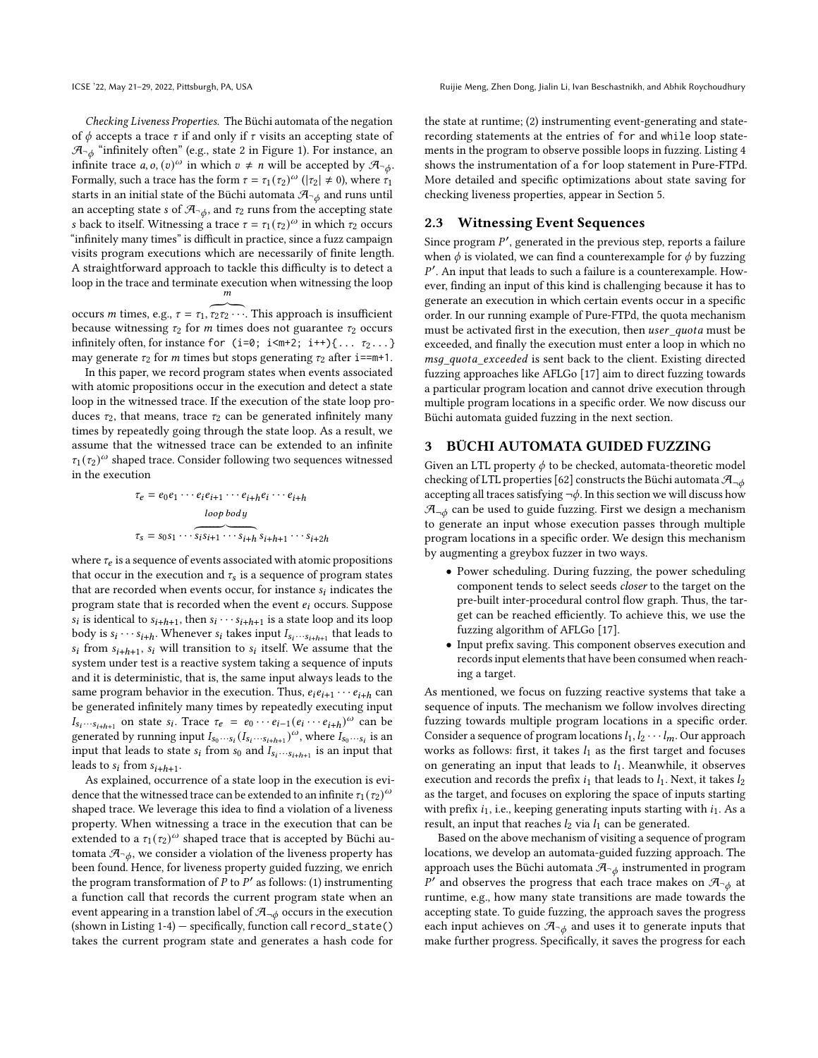Checking Liveness Properties. The Büchi automata of the negation of  $\phi$  accepts a trace  $\tau$  if and only if  $\tau$  visits an accepting state of  $\mathcal{A}_{\neg \phi}$  "infinitely often" (e.g., state 2 in Figure 1). For instance, an infinite trace  $a, o, (v)^\omega$  in which  $v \neq n$  will be accepted by  $\mathcal{A}_{\neg \phi}$ . Formally, such a trace has the form  $\tau = \tau_1(\tau_2)^\omega$  ( $|\tau_2| \neq 0$ ), where  $\tau_1$ starts in an initial state of the Büchi automata  $\mathcal{A}_{\neg \phi}$  and runs until an accepting state *s* of  $\mathcal{A}_{\neg \phi}$ , and  $\tau_2$  runs from the accepting state s back to itself. Witnessing a trace  $\tau = \tau_1(\tau_2)^\omega$  in which  $\tau_2$  occurs "infinitely many times" is difficult in practice, since a fuzz campaign visits program executions which are necessarily of finite length. A straightforward approach to tackle this difficulty is to detect a loop in the trace and terminate execution when witnessing the loop  $\frac{m}{m}$ 

occurs *m* times, e.g.,  $\tau = \tau_1, \tau_2 \tau_2 \cdots$ . This approach is insufficient because witnessing  $\tau_2$  for *m* times does not guarantee  $\tau_2$  occurs infinitely often, for instance for (i=0; i<m+2; i++){ $\dots$   $\tau_2$ ...} may generate  $\tau_2$  for *m* times but stops generating  $\tau_2$  after i==m+1.

In this paper, we record program states when events associated with atomic propositions occur in the execution and detect a state loop in the witnessed trace. If the execution of the state loop produces  $\tau_2$ , that means, trace  $\tau_2$  can be generated infinitely many times by repeatedly going through the state loop. As a result, we assume that the witnessed trace can be extended to an infinite  $\tau_1(\tau_2)^\omega$  shaped trace. Consider following two sequences witnessed in the execution

$$
\tau_e = e_0 e_1 \cdots e_i e_{i+1} \cdots e_{i+h} e_i \cdots e_{i+h}
$$
\n
$$
\xrightarrow{loop \, body}
$$
\n
$$
\tau_s = s_0 s_1 \cdots \overbrace{s_i s_{i+1} \cdots s_{i+h}} s_{i+h+1} \cdots s_{i+2h}
$$

where  $\tau_e$  is a sequence of events associated with atomic propositions that occur in the execution and  $\tau_s$  is a sequence of program states that are recorded when events occur, for instance  $s_i$  indicates the program state that is recorded when the event  $e_i$  occurs. Suppose  $\overline{s_i}$  is identical to  $s_{i+h+1}$ , then  $s_i \cdots s_{i+h+1}$  is a state loop and its loop body is  $s_i \cdots s_{i+h}$ . Whenever  $s_i$  takes input  $I_{s_i \cdots s_{i+h+1}}$  that leads to  $s_i$  from  $s_{i+h+1}$ ,  $s_i$  will transition to  $s_i$  itself. We assume that the system under test is a reactive system taking a sequence of inputs and it is deterministic, that is, the same input always leads to the same program behavior in the execution. Thus,  $e_i e_{i+1} \cdots e_{i+h}$  can be generated infinitely many times by repeatedly executing input  $I_{s_i \cdots s_{i+h+1}}$  on state  $s_i$ . Trace  $\tau_e = e_0 \cdots e_{i-1} (e_i \cdots e_{i+h})^{\omega}$  can be generated by running input  $I_{s_0 \cdots s_i} (I_{s_i \cdots s_{i+h+1}})^\omega$ , where  $I_{s_0 \cdots s_i}$  is an input that leads to state  $s_i$  from  $s_0$  and  $\overline{I_{s_i\cdots s_{i+h+1}}}$  is an input that leads to  $s_i$  from  $s_{i+h+1}$ .

As explained, occurrence of a state loop in the execution is evidence that the witnessed trace can be extended to an infinite  $\tau_1 (\tau_2)^{\omega}$ shaped trace. We leverage this idea to find a violation of a liveness property. When witnessing a trace in the execution that can be extended to a  $\tau_1 (\tau_2)^\omega$  shaped trace that is accepted by Büchi automata  $\mathcal{A}_{\neg \phi}$ , we consider a violation of the liveness property has been found. Hence, for liveness property guided fuzzing, we enrich the program transformation of  $\overline{P}$  to  $\overline{P}'$  as follows: (1) instrumenting a function call that records the current program state when an event appearing in a transtion label of  $\mathcal{A}_{\neg \phi}$  occurs in the execution (shown in Listing 1-4) — specifically, function call record\_state() takes the current program state and generates a hash code for

ICSE '22, May 21–29, 2022, Pittsburgh, PA, USA Ruijie Meng, Zhen Dong, Jialin Li, Ivan Beschastnikh, and Abhik Roychoudhury

the state at runtime; (2) instrumenting event-generating and staterecording statements at the entries of for and while loop statements in the program to observe possible loops in fuzzing. Listing 4 shows the instrumentation of a for loop statement in Pure-FTPd. More detailed and specific optimizations about state saving for checking liveness properties, appear in Section 5.

## 2.3 Witnessing Event Sequences

Since program  $P'$ , generated in the previous step, reports a failure when  $\phi$  is violated, we can find a counterexample for  $\phi$  by fuzzing P'. An input that leads to such a failure is a counterexample. However, finding an input of this kind is challenging because it has to generate an execution in which certain events occur in a specific order. In our running example of Pure-FTPd, the quota mechanism must be activated first in the execution, then user\_quota must be exceeded, and finally the execution must enter a loop in which no msq\_quota\_exceeded is sent back to the client. Existing directed fuzzing approaches like AFLGo [17] aim to direct fuzzing towards a particular program location and cannot drive execution through multiple program locations in a specific order. We now discuss our Büchi automata guided fuzzing in the next section.

#### 3 BÜCHI AUTOMATA GUIDED FUZZING

Given an LTL property  $\phi$  to be checked, automata-theoretic model checking of LTL properties [62] constructs the Büchi automata  $\mathcal{A}_{-\phi}$ accepting all traces satisfying  $\neg \phi$ . In this section we will discuss how  $\mathcal{A}_{\neg\phi}$  can be used to guide fuzzing. First we design a mechanism to generate an input whose execution passes through multiple program locations in a specific order. We design this mechanism by augmenting a greybox fuzzer in two ways.

- Power scheduling. During fuzzing, the power scheduling component tends to select seeds closer to the target on the pre-built inter-procedural control flow graph. Thus, the target can be reached efficiently. To achieve this, we use the fuzzing algorithm of AFLGo [17].
- Input prefix saving. This component observes execution and records input elements that have been consumed when reaching a target.

As mentioned, we focus on fuzzing reactive systems that take a sequence of inputs. The mechanism we follow involves directing fuzzing towards multiple program locations in a specific order. Consider a sequence of program locations  $l_1, l_2 \cdots l_m$ . Our approach works as follows: first, it takes  $l_1$  as the first target and focuses on generating an input that leads to  $l_1$ . Meanwhile, it observes execution and records the prefix  $i_1$  that leads to  $l_1$ . Next, it takes  $l_2$ as the target, and focuses on exploring the space of inputs starting with prefix  $i_1$ , i.e., keeping generating inputs starting with  $i_1$ . As a result, an input that reaches  $l_2$  via  $l_1$  can be generated.

Based on the above mechanism of visiting a sequence of program locations, we develop an automata-guided fuzzing approach. The approach uses the Büchi automata  $\mathcal{A}_{\neg \phi}$  instrumented in program P' and observes the progress that each trace makes on  $\mathcal{A}_{\neg \phi}$  at runtime, e.g., how many state transitions are made towards the accepting state. To guide fuzzing, the approach saves the progress each input achieves on  $\mathcal{A}_{\neg \phi}$  and uses it to generate inputs that make further progress. Specifically, it saves the progress for each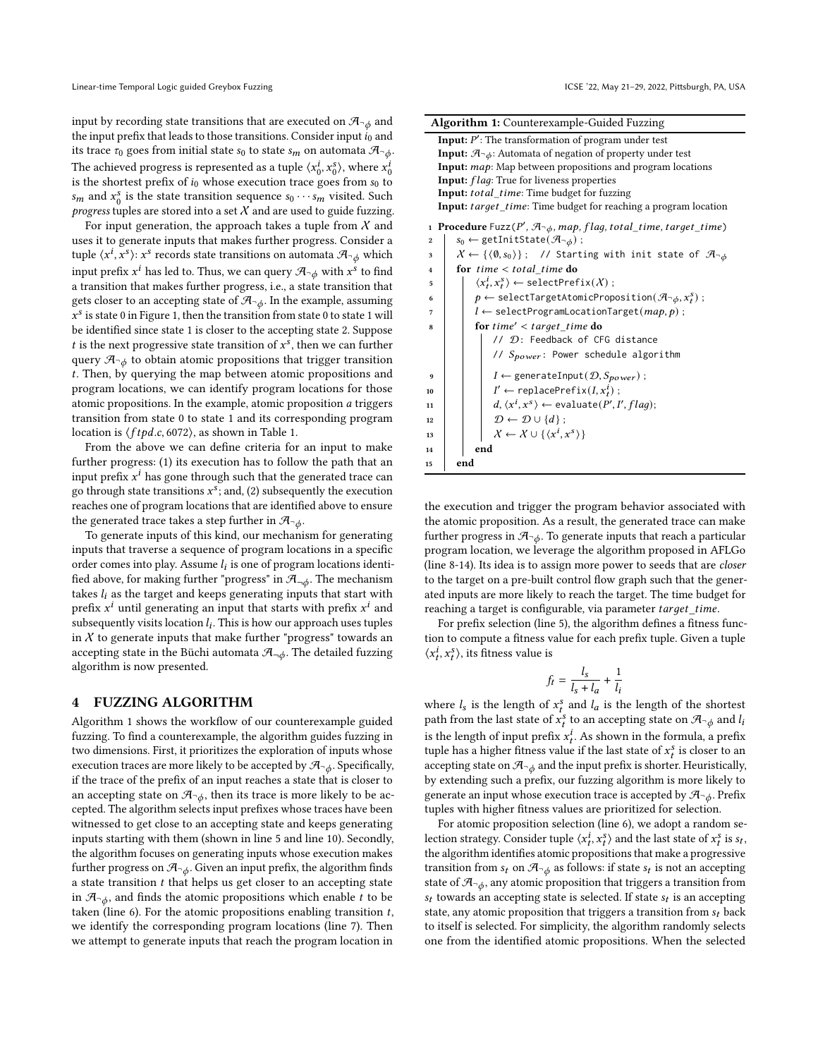input by recording state transitions that are executed on  $\mathcal{A}_{\neg \phi}$  and the input prefix that leads to those transitions. Consider input  $i_0$  and its trace  $\tau_0$  goes from initial state  $s_0$  to state  $s_m$  on automata  $\mathcal{A}_{\neg \phi}$ . The achieved progress is represented as a tuple  $\langle x_c^i \rangle$  $\langle v_0^i, x_0^s \rangle$ , where  $x_0^{i}$ 0 is the shortest prefix of  $i_0$  whose execution trace goes from  $s_0$  to  $s_m$  and  $x_0^s$  $\frac{s}{0}$  is the state transition sequence  $s_0 \cdots s_m$  visited. Such progress tuples are stored into a set  $X$  and are used to guide fuzzing.

For input generation, the approach takes a tuple from  $X$  and uses it to generate inputs that makes further progress. Consider a tuple  $\langle x^i, x^s \rangle$ :  $x^s$  records state transitions on automata  $\mathcal{A}_{\neg \phi}$  which input prefix  $x^i$  has led to. Thus, we can query  $\mathcal{A}_{\neg \phi}$  with  $x^s$  to find a transition that makes further progress, i.e., a state transition that gets closer to an accepting state of  $\mathcal{A}_{\neg \phi}$ . In the example, assuming  $\overrightarrow{x}^s$  is state 0 in Figure 1, then the transition from state 0 to state 1 will be identified since state 1 is closer to the accepting state 2. Suppose t is the next progressive state transition of  $x^s$ , then we can further query  $\mathcal{A}_{\neg \phi}$  to obtain atomic propositions that trigger transition . Then, by querying the map between atomic propositions and program locations, we can identify program locations for those atomic propositions. In the example, atomic proposition  $a$  triggers transition from state 0 to state 1 and its corresponding program location is  $\langle ftpd.c, 6072 \rangle$ , as shown in Table 1.

From the above we can define criteria for an input to make further progress: (1) its execution has to follow the path that an input prefix  $x^i$  has gone through such that the generated trace can go through state transitions  $x^s$ ; and, (2) subsequently the execution reaches one of program locations that are identified above to ensure the generated trace takes a step further in  $\mathcal{A}_{\neg b}$ .

To generate inputs of this kind, our mechanism for generating inputs that traverse a sequence of program locations in a specific order comes into play. Assume  $l_i$  is one of program locations identified above, for making further "progress" in  $\mathcal{A}_{\neg \phi}$ . The mechanism takes  $l_i$  as the target and keeps generating inputs that start with prefix  $x^i$  until generating an input that starts with prefix  $x^i$  and subsequently visits location  $l_i$ . This is how our approach uses tuples in  $X$  to generate inputs that make further "progress" towards an accepting state in the Büchi automata  $\mathcal{A}_{\neg \phi}$ . The detailed fuzzing algorithm is now presented.

#### 4 FUZZING ALGORITHM

Algorithm 1 shows the workflow of our counterexample guided fuzzing. To find a counterexample, the algorithm guides fuzzing in two dimensions. First, it prioritizes the exploration of inputs whose execution traces are more likely to be accepted by  $\mathcal{A}_{\neg \phi}$ . Specifically, if the trace of the prefix of an input reaches a state that is closer to an accepting state on  $\mathcal{A}_{\neg \phi}$ , then its trace is more likely to be accepted. The algorithm selects input prefixes whose traces have been witnessed to get close to an accepting state and keeps generating inputs starting with them (shown in line 5 and line 10). Secondly, the algorithm focuses on generating inputs whose execution makes further progress on  $\mathcal{A}_{\neg \phi}$ . Given an input prefix, the algorithm finds a state transition  $t$  that helps us get closer to an accepting state in  $\mathcal{A}_{\neg \phi}$ , and finds the atomic propositions which enable *t* to be taken (line 6). For the atomic propositions enabling transition  $t$ , we identify the corresponding program locations (line 7). Then we attempt to generate inputs that reach the program location in

| <b>Algorithm 1:</b> Counterexample-Guided Fuzzing                                                                  |  |  |  |  |  |
|--------------------------------------------------------------------------------------------------------------------|--|--|--|--|--|
| <b>Input:</b> $P'$ : The transformation of program under test                                                      |  |  |  |  |  |
| <b>Input:</b> $\mathcal{A}$ <sup>-</sup> $\phi$ : Automata of negation of property under test                      |  |  |  |  |  |
| Input: map: Map between propositions and program locations                                                         |  |  |  |  |  |
| <b>Input:</b> flag: True for liveness properties                                                                   |  |  |  |  |  |
| <b>Input:</b> total time: Time budget for fuzzing                                                                  |  |  |  |  |  |
| <b>Input:</b> target_time: Time budget for reaching a program location                                             |  |  |  |  |  |
| <b>Procedure</b> Fuzz( $P'$ , $\mathcal{A}_{\neg \phi}$ , map, flag, total_time, target_time)<br>$\mathbf{1}$      |  |  |  |  |  |
| $s_0 \leftarrow$ getInitState( $\mathcal{A}_{\neg \phi}$ );<br>$\overline{2}$                                      |  |  |  |  |  |
| $X \leftarrow \{ \langle \emptyset, s_0 \rangle \};$ // Starting with init state of $\mathcal{A}_{\neg \phi}$<br>3 |  |  |  |  |  |
| for $time < total$ time do<br>$\overline{\mathbf{4}}$                                                              |  |  |  |  |  |
| $\langle x_t^i, x_t^s \rangle \leftarrow \text{selectPrefix}(X)$ ;<br>5                                            |  |  |  |  |  |
| $p \leftarrow \text{selectTargetAtomicProposition}(\mathcal{A}_{\neg \phi}, x_t^s)$ ;                              |  |  |  |  |  |
| $l \leftarrow \text{selectProgramLocationTarget}(map, p)$ ;                                                        |  |  |  |  |  |
| for $time' < target$ time do<br>8                                                                                  |  |  |  |  |  |
| // D: Feedback of CFG distance                                                                                     |  |  |  |  |  |
| // $S_{power}$ : Power schedule algorithm                                                                          |  |  |  |  |  |
| $I \leftarrow$ generateInput( $\mathcal{D}, S_{power}$ );<br>9                                                     |  |  |  |  |  |
| $I' \leftarrow \text{replacePrefix}(I, x_t^i);$<br>10                                                              |  |  |  |  |  |
| $d, \langle x^i, x^s \rangle \leftarrow \text{evaluate}(P', I', flag);$<br>11                                      |  |  |  |  |  |
| $\mathcal{D} \leftarrow \mathcal{D} \cup \{d\}$ ;<br>12                                                            |  |  |  |  |  |
| $\mathcal{X} \leftarrow \mathcal{X} \cup \{ \langle x^i, x^s \rangle \}$<br>13                                     |  |  |  |  |  |
| end<br>14                                                                                                          |  |  |  |  |  |
| end<br>15                                                                                                          |  |  |  |  |  |

the execution and trigger the program behavior associated with the atomic proposition. As a result, the generated trace can make further progress in  $\mathcal{A}_{\neg \phi}$ . To generate inputs that reach a particular program location, we leverage the algorithm proposed in AFLGo (line 8-14). Its idea is to assign more power to seeds that are closer to the target on a pre-built control flow graph such that the generated inputs are more likely to reach the target. The time budget for reaching a target is configurable, via parameter  $target\_time$ .

For prefix selection (line 5), the algorithm defines a fitness function to compute a fitness value for each prefix tuple. Given a tuple  $\langle x_t^i, x_t^s \rangle$ , its fitness value is

$$
f_t = \frac{l_s}{l_s + l_a} + \frac{1}{l_i}
$$

where  $l_s$  is the length of  $x_t^s$  and  $l_a$  is the length of the shortest path from the last state of  $x_t^s$  to an accepting state on  $\mathcal{A}_{\neg \phi}$  and  $l_i$ is the length of input prefix  $x_t^i$ . As shown in the formula, a prefix tuple has a higher fitness value if the last state of  $x_t^s$  is closer to an accepting state on  $\mathcal{A}_{\neg \phi}$  and the input prefix is shorter. Heuristically, by extending such a prefix, our fuzzing algorithm is more likely to generate an input whose execution trace is accepted by  $\mathcal{A}_{\neg \phi}$ . Prefix tuples with higher fitness values are prioritized for selection.

For atomic proposition selection (line 6), we adopt a random selection strategy. Consider tuple  $\langle x_t^i, x_t^s \rangle$  and the last state of  $x_t^s$  is  $s_t$ , the algorithm identifies atomic propositions that make a progressive transition from  $s_t$  on  $\mathcal{A}_{\neg \phi}$  as follows: if state  $s_t$  is not an accepting state of  $\mathcal{A}_{\neg \phi}$ , any atomic proposition that triggers a transition from  $s_t$  towards an accepting state is selected. If state  $s_t$  is an accepting state, any atomic proposition that triggers a transition from  $s_t$  back to itself is selected. For simplicity, the algorithm randomly selects one from the identified atomic propositions. When the selected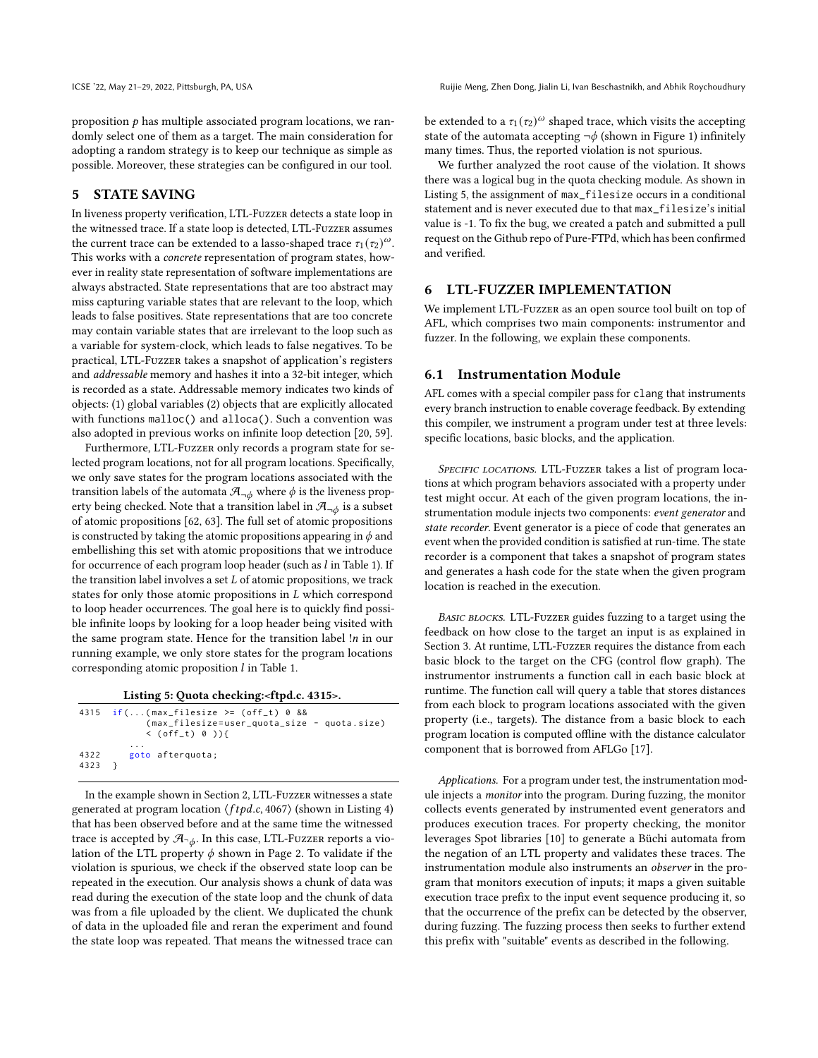proposition  $p$  has multiple associated program locations, we randomly select one of them as a target. The main consideration for adopting a random strategy is to keep our technique as simple as possible. Moreover, these strategies can be configured in our tool.

# 5 STATE SAVING

In liveness property verification, LTL-Fuzzer detects a state loop in the witnessed trace. If a state loop is detected, LTL-Fuzzer assumes the current trace can be extended to a lasso-shaped trace  $\tau_1(\tau_2)^\omega$ . This works with a concrete representation of program states, however in reality state representation of software implementations are always abstracted. State representations that are too abstract may miss capturing variable states that are relevant to the loop, which leads to false positives. State representations that are too concrete may contain variable states that are irrelevant to the loop such as a variable for system-clock, which leads to false negatives. To be practical, LTL-Fuzzer takes a snapshot of application's registers and addressable memory and hashes it into a 32-bit integer, which is recorded as a state. Addressable memory indicates two kinds of objects: (1) global variables (2) objects that are explicitly allocated with functions malloc() and alloca(). Such a convention was also adopted in previous works on infinite loop detection [20, 59].

Furthermore, LTL-Fuzzer only records a program state for selected program locations, not for all program locations. Specifically, we only save states for the program locations associated with the transition labels of the automata  $\mathcal{A}_{\neg\phi}$  where  $\phi$  is the liveness property being checked. Note that a transition label in  $\mathcal{A}_{\neg \phi}$  is a subset of atomic propositions [62, 63]. The full set of atomic propositions is constructed by taking the atomic propositions appearing in  $\phi$  and embellishing this set with atomic propositions that we introduce for occurrence of each program loop header (such as  $l$  in Table 1). If the transition label involves a set  $L$  of atomic propositions, we track states for only those atomic propositions in  $L$  which correspond to loop header occurrences. The goal here is to quickly find possible infinite loops by looking for a loop header being visited with the same program state. Hence for the transition label  $!n$  in our running example, we only store states for the program locations corresponding atomic proposition  $l$  in Table 1.

Listing 5: Quota checking:<ftpd.c. 4315>.

|      | 4315 $if((max_{i}filesize >= (off_{t}) 0 88)$<br>(max_filesize=user_quota_size - quota.size)<br>$\langle$ (off_t) 0 )){ |
|------|-------------------------------------------------------------------------------------------------------------------------|
| 4322 | .                                                                                                                       |
| 4323 | goto afterquota;                                                                                                        |

In the example shown in Section 2, LTL-Fuzzer witnesses a state generated at program location  $\langle ftpd.c.4067 \rangle$  (shown in Listing 4) that has been observed before and at the same time the witnessed trace is accepted by  $\mathcal{A}_{\neg \phi}$ . In this case, LTL-Fuzzer reports a violation of the LTL property  $\phi$  shown in Page 2. To validate if the violation is spurious, we check if the observed state loop can be repeated in the execution. Our analysis shows a chunk of data was read during the execution of the state loop and the chunk of data was from a file uploaded by the client. We duplicated the chunk of data in the uploaded file and reran the experiment and found the state loop was repeated. That means the witnessed trace can

be extended to a  $\tau_1 (\tau_2)^\omega$  shaped trace, which visits the accepting state of the automata accepting  $\neg \phi$  (shown in Figure 1) infinitely many times. Thus, the reported violation is not spurious.

We further analyzed the root cause of the violation. It shows there was a logical bug in the quota checking module. As shown in Listing 5, the assignment of max\_filesize occurs in a conditional statement and is never executed due to that max\_filesize's initial value is -1. To fix the bug, we created a patch and submitted a pull request on the Github repo of Pure-FTPd, which has been confirmed and verified.

#### 6 LTL-FUZZER IMPLEMENTATION

We implement LTL-Fuzzer as an open source tool built on top of AFL, which comprises two main components: instrumentor and fuzzer. In the following, we explain these components.

## 6.1 Instrumentation Module

AFL comes with a special compiler pass for clang that instruments every branch instruction to enable coverage feedback. By extending this compiler, we instrument a program under test at three levels: specific locations, basic blocks, and the application.

SPECIFIC LOCATIONS. LTL-FUZZER takes a list of program locations at which program behaviors associated with a property under test might occur. At each of the given program locations, the instrumentation module injects two components: event generator and state recorder. Event generator is a piece of code that generates an event when the provided condition is satisfied at run-time. The state recorder is a component that takes a snapshot of program states and generates a hash code for the state when the given program location is reached in the execution.

BASIC BLOCKS. LTL-FUZZER guides fuzzing to a target using the feedback on how close to the target an input is as explained in Section 3. At runtime, LTL-Fuzzer requires the distance from each basic block to the target on the CFG (control flow graph). The instrumentor instruments a function call in each basic block at runtime. The function call will query a table that stores distances from each block to program locations associated with the given property (i.e., targets). The distance from a basic block to each program location is computed offline with the distance calculator component that is borrowed from AFLGo [17].

Applications. For a program under test, the instrumentation module injects a monitor into the program. During fuzzing, the monitor collects events generated by instrumented event generators and produces execution traces. For property checking, the monitor leverages Spot libraries [10] to generate a Büchi automata from the negation of an LTL property and validates these traces. The instrumentation module also instruments an observer in the program that monitors execution of inputs; it maps a given suitable execution trace prefix to the input event sequence producing it, so that the occurrence of the prefix can be detected by the observer, during fuzzing. The fuzzing process then seeks to further extend this prefix with "suitable" events as described in the following.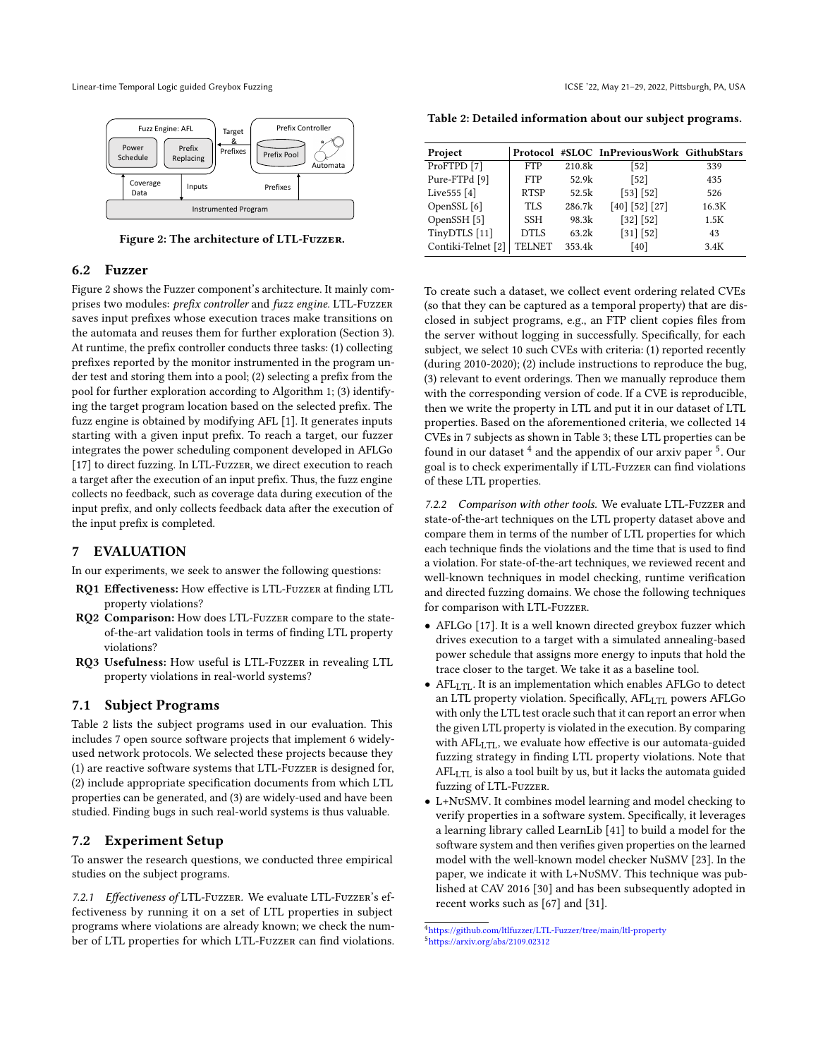Linear-time Temporal Logic guided Greybox Fuzzing ICSE '22, May 21-29, 2022, Pittsburgh, PA, USA



Figure 2: The architecture of LTL-Fuzzer.

## 6.2 Fuzzer

Figure 2 shows the Fuzzer component's architecture. It mainly comprises two modules: prefix controller and fuzz engine. LTL-Fuzzer saves input prefixes whose execution traces make transitions on the automata and reuses them for further exploration (Section 3). At runtime, the prefix controller conducts three tasks: (1) collecting prefixes reported by the monitor instrumented in the program under test and storing them into a pool; (2) selecting a prefix from the pool for further exploration according to Algorithm 1; (3) identifying the target program location based on the selected prefix. The fuzz engine is obtained by modifying AFL [1]. It generates inputs starting with a given input prefix. To reach a target, our fuzzer integrates the power scheduling component developed in AFLGo [17] to direct fuzzing. In LTL-Fuzzer, we direct execution to reach a target after the execution of an input prefix. Thus, the fuzz engine collects no feedback, such as coverage data during execution of the input prefix, and only collects feedback data after the execution of the input prefix is completed.

# 7 EVALUATION

In our experiments, we seek to answer the following questions:

- RQ1 Effectiveness: How effective is LTL-Fuzzer at finding LTL property violations?
- RQ2 Comparison: How does LTL-Fuzzer compare to the stateof-the-art validation tools in terms of finding LTL property violations?
- RQ3 Usefulness: How useful is LTL-Fuzzer in revealing LTL property violations in real-world systems?

# 7.1 Subject Programs

Table 2 lists the subject programs used in our evaluation. This includes 7 open source software projects that implement 6 widelyused network protocols. We selected these projects because they (1) are reactive software systems that LTL-Fuzzer is designed for, (2) include appropriate specification documents from which LTL properties can be generated, and (3) are widely-used and have been studied. Finding bugs in such real-world systems is thus valuable.

#### 7.2 Experiment Setup

To answer the research questions, we conducted three empirical studies on the subject programs.

7.2.1 Effectiveness of LTL-Fuzzer. We evaluate LTL-Fuzzer's effectiveness by running it on a set of LTL properties in subject programs where violations are already known; we check the number of LTL properties for which LTL-Fuzzer can find violations.

|  |  | Table 2: Detailed information about our subject programs. |  |  |  |
|--|--|-----------------------------------------------------------|--|--|--|
|--|--|-----------------------------------------------------------|--|--|--|

| <b>FTP</b>    | 210.8k | $[52]$         | 339                                       |
|---------------|--------|----------------|-------------------------------------------|
| <b>FTP</b>    | 52.9k  | $[52]$         | 435                                       |
| <b>RTSP</b>   | 52.5k  | [53] [52]      | 526                                       |
| <b>TLS</b>    | 286.7k | [40] [52] [27] | 16.3K                                     |
| <b>SSH</b>    | 98.3k  | [32] [52]      | 1.5K                                      |
| DTLS          | 63.2k  | [31] [52]      | 43                                        |
| <b>TELNET</b> | 353.4k | [40]           | 3.4K                                      |
|               |        |                | Protocol #SLOC InPreviousWork GithubStars |

To create such a dataset, we collect event ordering related CVEs (so that they can be captured as a temporal property) that are disclosed in subject programs, e.g., an FTP client copies files from the server without logging in successfully. Specifically, for each subject, we select 10 such CVEs with criteria: (1) reported recently (during 2010-2020); (2) include instructions to reproduce the bug, (3) relevant to event orderings. Then we manually reproduce them with the corresponding version of code. If a CVE is reproducible, then we write the property in LTL and put it in our dataset of LTL properties. Based on the aforementioned criteria, we collected 14 CVEs in 7 subjects as shown in Table 3; these LTL properties can be found in our dataset  $^4$  and the appendix of our arxiv paper  $^5$ . Our goal is to check experimentally if LTL-Fuzzer can find violations of these LTL properties.

7.2.2 Comparison with other tools. We evaluate LTL-Fuzzer and state-of-the-art techniques on the LTL property dataset above and compare them in terms of the number of LTL properties for which each technique finds the violations and the time that is used to find a violation. For state-of-the-art techniques, we reviewed recent and well-known techniques in model checking, runtime verification and directed fuzzing domains. We chose the following techniques for comparison with LTL-Fuzzer.

- AFLGo [17]. It is a well known directed greybox fuzzer which drives execution to a target with a simulated annealing-based power schedule that assigns more energy to inputs that hold the trace closer to the target. We take it as a baseline tool.
- AFL<sub>LTL</sub>. It is an implementation which enables AFLGo to detect an LTL property violation. Specifically, AFL<sub>LTL</sub> powers AFLGo with only the LTL test oracle such that it can report an error when the given LTL property is violated in the execution. By comparing with AFL<sub>LTL</sub>, we evaluate how effective is our automata-guided fuzzing strategy in finding LTL property violations. Note that  $AFL<sub>LTL</sub>$  is also a tool built by us, but it lacks the automata guided fuzzing of LTL-Fuzzer.
- L+NuSMV. It combines model learning and model checking to verify properties in a software system. Specifically, it leverages a learning library called LearnLib [41] to build a model for the software system and then verifies given properties on the learned model with the well-known model checker NuSMV [23]. In the paper, we indicate it with L+NuSMV. This technique was published at CAV 2016 [30] and has been subsequently adopted in recent works such as [67] and [31].

<sup>4</sup>https://github.com/ltlfuzzer/LTL-Fuzzer/tree/main/ltl-property <sup>5</sup>https://arxiv.org/abs/2109.02312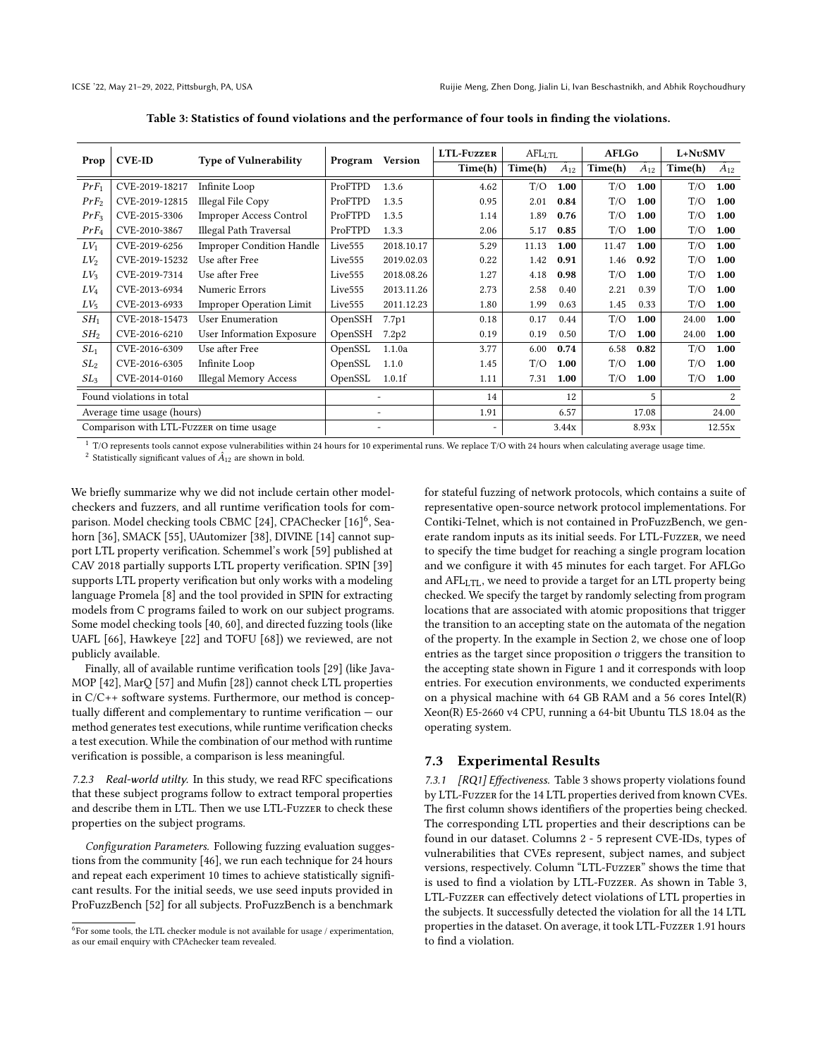| <b>CVE-ID</b><br>Prop                    |                            | <b>Type of Vulnerability</b>     | Program             | <b>Version</b> | <b>LTL-FUZZER</b> | $\text{AFL}_{\text{LTL}}$ |         | <b>AFLGo</b> |         | L+NuSMV        |       |
|------------------------------------------|----------------------------|----------------------------------|---------------------|----------------|-------------------|---------------------------|---------|--------------|---------|----------------|-------|
|                                          |                            |                                  |                     | Time(h)        | Time(h)           | $A_{12}$                  | Time(h) | $A_{12}$     | Time(h) | $A_{12}$       |       |
| $PrF_1$                                  | CVE-2019-18217             | Infinite Loop                    | ProFTPD             | 1.3.6          | 4.62              | T/O                       | 1.00    | T/O          | 1.00    | T/O            | 1.00  |
| $PrF_2$                                  | CVE-2019-12815             | Illegal File Copy                | ProFTPD             | 1.3.5          | 0.95              | 2.01                      | 0.84    | T/O          | 1.00    | T/O            | 1.00  |
| $PrF_3$                                  | CVE-2015-3306              | Improper Access Control          | ProFTPD             | 1.3.5          | 1.14              | 1.89                      | 0.76    | T/O          | 1.00    | T/O            | 1.00  |
| $PrF_4$                                  | CVE-2010-3867              | Illegal Path Traversal           | ProFTPD             | 1.3.3          | 2.06              | 5.17                      | 0.85    | T/O          | 1.00    | T/O            | 1.00  |
| $LV_1$                                   | CVE-2019-6256              | <b>Improper Condition Handle</b> | Live <sub>555</sub> | 2018.10.17     | 5.29              | 11.13                     | 1.00    | 11.47        | 1.00    | T/O            | 1.00  |
| $LV_2$                                   | CVE-2019-15232             | Use after Free                   | Live555             | 2019.02.03     | 0.22              | 1.42                      | 0.91    | 1.46         | 0.92    | T/O            | 1.00  |
| $LV_3$                                   | CVE-2019-7314              | Use after Free                   | Live <sub>555</sub> | 2018.08.26     | 1.27              | 4.18                      | 0.98    | T/O          | 1.00    | T/O            | 1.00  |
| $LV_4$                                   | CVE-2013-6934              | Numeric Errors                   | Live <sub>555</sub> | 2013.11.26     | 2.73              | 2.58                      | 0.40    | 2.21         | 0.39    | T/O            | 1.00  |
| $LV_5$                                   | CVE-2013-6933              | <b>Improper Operation Limit</b>  | Live <sub>555</sub> | 2011.12.23     | 1.80              | 1.99                      | 0.63    | 1.45         | 0.33    | T/O            | 1.00  |
| $SH_1$                                   | CVE-2018-15473             | <b>User Enumeration</b>          | OpenSSH<br>7.7p1    |                | 0.18              | 0.17                      | 0.44    | T/O          | 1.00    | 24.00          | 1.00  |
| SH <sub>2</sub>                          | CVE-2016-6210              | User Information Exposure        | OpenSSH             | 7.2p2          | 0.19              | 0.19                      | 0.50    | T/O          | 1.00    | 24.00          | 1.00  |
| SL <sub>1</sub>                          | CVE-2016-6309              | Use after Free                   | OpenSSL             | 1.1.0a         | 3.77              | 6.00                      | 0.74    | 6.58         | 0.82    | T/O            | 1.00  |
| SL <sub>2</sub>                          | CVE-2016-6305              | Infinite Loop                    | OpenSSL             | 1.1.0          | 1.45              | T/O                       | 1.00    | T/O          | 1.00    | T/O            | 1.00  |
| SL <sub>3</sub>                          | CVE-2014-0160              | <b>Illegal Memory Access</b>     | OpenSSL             | 1.0.1f         | 1.11              | 7.31                      | 1.00    | T/O          | 1.00    | T/O            | 1.00  |
| Found violations in total                |                            |                                  |                     | 14             |                   | 12                        |         | 5            |         | $\overline{2}$ |       |
|                                          | Average time usage (hours) |                                  |                     |                | 1.91              |                           | 6.57    |              | 17.08   |                | 24.00 |
| Comparison with LTL-FUZZER on time usage |                            |                                  |                     |                |                   | 3.44x                     |         | 8.93x        | 12.55x  |                |       |

Table 3: Statistics of found violations and the performance of four tools in finding the violations.

 $^{\rm 1}$  T/O represents tools cannot expose vulnerabilities within 24 hours for 10 experimental runs. We replace T/O with 24 hours when calculating average usage time.

 $^2$  Statistically significant values of  $\hat{A}_{12}$  are shown in bold.

We briefly summarize why we did not include certain other modelcheckers and fuzzers, and all runtime verification tools for comparison. Model checking tools CBMC [24], CPAChecker [16]<sup>6</sup>, Seahorn [36], SMACK [55], UAutomizer [38], DIVINE [14] cannot support LTL property verification. Schemmel's work [59] published at CAV 2018 partially supports LTL property verification. SPIN [39] supports LTL property verification but only works with a modeling language Promela [8] and the tool provided in SPIN for extracting models from C programs failed to work on our subject programs. Some model checking tools [40, 60], and directed fuzzing tools (like UAFL [66], Hawkeye [22] and TOFU [68]) we reviewed, are not publicly available.

Finally, all of available runtime verification tools [29] (like Java-MOP [42], MarQ [57] and Mufin [28]) cannot check LTL properties in C/C++ software systems. Furthermore, our method is conceptually different and complementary to runtime verification — our method generates test executions, while runtime verification checks a test execution. While the combination of our method with runtime verification is possible, a comparison is less meaningful.

7.2.3 Real-world utilty. In this study, we read RFC specifications that these subject programs follow to extract temporal properties and describe them in LTL. Then we use LTL-Fuzzer to check these properties on the subject programs.

Configuration Parameters. Following fuzzing evaluation suggestions from the community [46], we run each technique for 24 hours and repeat each experiment 10 times to achieve statistically significant results. For the initial seeds, we use seed inputs provided in ProFuzzBench [52] for all subjects. ProFuzzBench is a benchmark

for stateful fuzzing of network protocols, which contains a suite of representative open-source network protocol implementations. For Contiki-Telnet, which is not contained in ProFuzzBench, we generate random inputs as its initial seeds. For LTL-Fuzzer, we need to specify the time budget for reaching a single program location and we configure it with 45 minutes for each target. For AFLGo and  $AFL<sub>LTT</sub>$ , we need to provide a target for an LTL property being checked. We specify the target by randomly selecting from program locations that are associated with atomic propositions that trigger the transition to an accepting state on the automata of the negation of the property. In the example in Section 2, we chose one of loop entries as the target since proposition  $o$  triggers the transition to the accepting state shown in Figure 1 and it corresponds with loop entries. For execution environments, we conducted experiments on a physical machine with 64 GB RAM and a 56 cores Intel(R) Xeon(R) E5-2660 v4 CPU, running a 64-bit Ubuntu TLS 18.04 as the operating system.

#### 7.3 Experimental Results

7.3.1 [RQ1] Effectiveness. Table 3 shows property violations found by LTL-Fuzzer for the 14 LTL properties derived from known CVEs. The first column shows identifiers of the properties being checked. The corresponding LTL properties and their descriptions can be found in our dataset. Columns 2 - 5 represent CVE-IDs, types of vulnerabilities that CVEs represent, subject names, and subject versions, respectively. Column "LTL-Fuzzer" shows the time that is used to find a violation by LTL-Fuzzer. As shown in Table 3, LTL-Fuzzer can effectively detect violations of LTL properties in the subjects. It successfully detected the violation for all the 14 LTL properties in the dataset. On average, it took LTL-Fuzzer 1.91 hours to find a violation.

<sup>&</sup>lt;sup>6</sup>For some tools, the LTL checker module is not available for usage / experimentation, as our email enquiry with CPAchecker team revealed.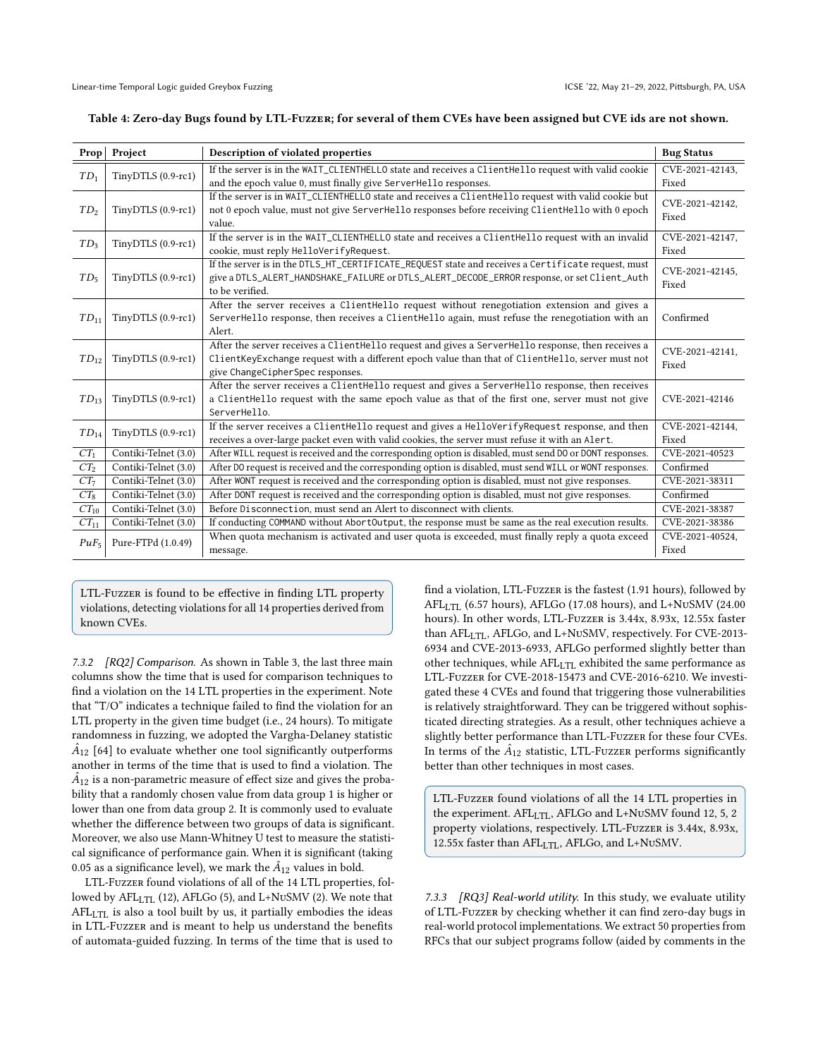|                 | Prop Project         | Description of violated properties                                                                       | <b>Bug Status</b>        |
|-----------------|----------------------|----------------------------------------------------------------------------------------------------------|--------------------------|
| $TD_1$          | TinyDTLS (0.9-rc1)   | If the server is in the WAIT_CLIENTHELLO state and receives a ClientHello request with valid cookie      | CVE-2021-42143,          |
|                 |                      | and the epoch value 0, must finally give ServerHello responses.                                          | Fixed                    |
|                 |                      | If the server is in WAIT_CLIENTHELLO state and receives a ClientHello request with valid cookie but      |                          |
| $TD_2$          | TinyDTLS (0.9-rc1)   | not 0 epoch value, must not give ServerHello responses before receiving ClientHello with 0 epoch         | CVE-2021-42142,<br>Fixed |
|                 |                      | value.                                                                                                   |                          |
| $TD_3$          | TinyDTLS (0.9-rc1)   | If the server is in the WAIT_CLIENTHELLO state and receives a ClientHello request with an invalid        | CVE-2021-42147,          |
|                 |                      | cookie, must reply HelloVerifyRequest.                                                                   | Fixed                    |
|                 |                      | If the server is in the DTLS_HT_CERTIFICATE_REQUEST state and receives a Certificate request, must       | CVE-2021-42145.          |
| TD <sub>5</sub> | TinyDTLS (0.9-rc1)   | give a DTLS_ALERT_HANDSHAKE_FAILURE or DTLS_ALERT_DECODE_ERROR response, or set Client_Auth              |                          |
|                 |                      | to be verified.                                                                                          | Fixed                    |
|                 |                      | After the server receives a ClientHello request without renegotiation extension and gives a              |                          |
| $TD_{11}$       | TinyDTLS (0.9-rc1)   | ServerHello response, then receives a ClientHello again, must refuse the renegotiation with an           | Confirmed                |
|                 |                      | Alert.                                                                                                   |                          |
|                 | TinyDTLS (0.9-rc1)   | After the server receives a ClientHello request and gives a ServerHello response, then receives a        | CVE-2021-42141,          |
| $TD_{12}$       |                      | ClientKeyExchange request with a different epoch value than that of ClientHello, server must not         | Fixed                    |
|                 |                      | give ChangeCipherSpec responses.                                                                         |                          |
|                 |                      | After the server receives a ClientHello request and gives a ServerHello response, then receives          |                          |
| $TD_{13}$       | TinyDTLS (0.9-rc1)   | a ClientHello request with the same epoch value as that of the first one, server must not give           | CVE-2021-42146           |
|                 |                      | ServerHello.                                                                                             |                          |
| $TD_{14}$       | TinyDTLS (0.9-rc1)   | If the server receives a ClientHello request and gives a HelloVerifyRequest response, and then           | CVE-2021-42144.          |
|                 |                      | receives a over-large packet even with valid cookies, the server must refuse it with an Alert.           | Fixed                    |
| $CT_1$          | Contiki-Telnet (3.0) | After WILL request is received and the corresponding option is disabled, must send DO or DONT responses. | CVE-2021-40523           |
| CT <sub>2</sub> | Contiki-Telnet (3.0) | After DO request is received and the corresponding option is disabled, must send WILL or WONT responses. | Confirmed                |
| CT <sub>7</sub> | Contiki-Telnet (3.0) | After WONT request is received and the corresponding option is disabled, must not give responses.        | CVE-2021-38311           |
| $CT_8$          | Contiki-Telnet (3.0) | After DONT request is received and the corresponding option is disabled, must not give responses.        | Confirmed                |
| $CT_{10}$       | Contiki-Telnet (3.0) | Before Disconnection, must send an Alert to disconnect with clients.                                     | CVE-2021-38387           |
| $CT_{11}$       | Contiki-Telnet (3.0) | If conducting COMMAND without AbortOutput, the response must be same as the real execution results.      | CVE-2021-38386           |
| $PuF_5$         | Pure-FTPd (1.0.49)   | When quota mechanism is activated and user quota is exceeded, must finally reply a quota exceed          | CVE-2021-40524,          |
|                 |                      | message.                                                                                                 | Fixed                    |

|  | Table 4: Zero-day Bugs found by LTL-FuzzER; for several of them CVEs have been assigned but CVE ids are not shown. |  |
|--|--------------------------------------------------------------------------------------------------------------------|--|
|  |                                                                                                                    |  |
|  |                                                                                                                    |  |
|  |                                                                                                                    |  |

LTL-Fuzzer is found to be effective in finding LTL property violations, detecting violations for all 14 properties derived from known CVEs.

7.3.2 [RQ2] Comparison. As shown in Table 3, the last three main columns show the time that is used for comparison techniques to find a violation on the 14 LTL properties in the experiment. Note that "T/O" indicates a technique failed to find the violation for an LTL property in the given time budget (i.e., 24 hours). To mitigate randomness in fuzzing, we adopted the Vargha-Delaney statistic  $\hat{A}_{12}$  [64] to evaluate whether one tool significantly outperforms another in terms of the time that is used to find a violation. The  $\hat{A}_{12}$  is a non-parametric measure of effect size and gives the probability that a randomly chosen value from data group 1 is higher or lower than one from data group 2. It is commonly used to evaluate whether the difference between two groups of data is significant. Moreover, we also use Mann-Whitney U test to measure the statistical significance of performance gain. When it is significant (taking 0.05 as a significance level), we mark the  $\hat{A}_{12}$  values in bold.

LTL-Fuzzer found violations of all of the 14 LTL properties, followed by AFL<sub>LTL</sub> (12), AFLGo (5), and L+NuSMV (2). We note that AFLLTL is also a tool built by us, it partially embodies the ideas in LTL-Fuzzer and is meant to help us understand the benefits of automata-guided fuzzing. In terms of the time that is used to

find a violation, LTL-Fuzzer is the fastest (1.91 hours), followed by AFLLTL (6.57 hours), AFLGo (17.08 hours), and L+NuSMV (24.00 hours). In other words, LTL-Fuzzer is 3.44x, 8.93x, 12.55x faster than AFL<sub>LTL</sub>, AFLGo, and L+NuSMV, respectively. For CVE-2013-6934 and CVE-2013-6933, AFLGo performed slightly better than other techniques, while  $AFL<sub>LTL</sub>$  exhibited the same performance as LTL-Fuzzer for CVE-2018-15473 and CVE-2016-6210. We investigated these 4 CVEs and found that triggering those vulnerabilities is relatively straightforward. They can be triggered without sophisticated directing strategies. As a result, other techniques achieve a slightly better performance than LTL-Fuzzer for these four CVEs. In terms of the  $\hat{A}_{12}$  statistic, LTL-Fuzzer performs significantly better than other techniques in most cases.

LTL-Fuzzer found violations of all the 14 LTL properties in the experiment. AFL<sub>LTL</sub>, AFLGo and L+NuSMV found 12, 5, 2 property violations, respectively. LTL-Fuzzer is 3.44x, 8.93x, 12.55x faster than AFL<sub>LTL</sub>, AFLGo, and L+NuSMV.

7.3.3 [RQ3] Real-world utility. In this study, we evaluate utility of LTL-Fuzzer by checking whether it can find zero-day bugs in real-world protocol implementations. We extract 50 properties from RFCs that our subject programs follow (aided by comments in the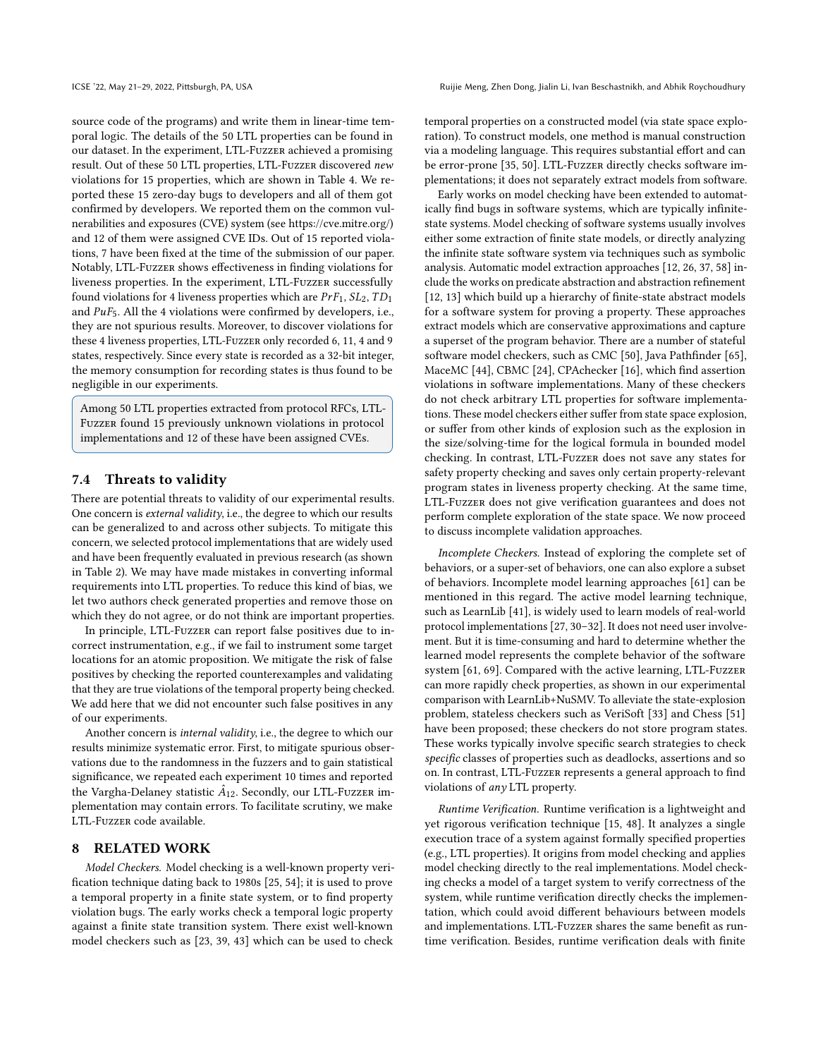source code of the programs) and write them in linear-time temporal logic. The details of the 50 LTL properties can be found in our dataset. In the experiment, LTL-Fuzzer achieved a promising result. Out of these 50 LTL properties, LTL-Fuzzer discovered new violations for 15 properties, which are shown in Table 4. We reported these 15 zero-day bugs to developers and all of them got confirmed by developers. We reported them on the common vulnerabilities and exposures (CVE) system (see https://cve.mitre.org/) and 12 of them were assigned CVE IDs. Out of 15 reported violations, 7 have been fixed at the time of the submission of our paper. Notably, LTL-Fuzzer shows effectiveness in finding violations for liveness properties. In the experiment, LTL-Fuzzer successfully found violations for 4 liveness properties which are  $PrF_1$ ,  $SL_2$ ,  $TD_1$ and  $PuF_5$ . All the 4 violations were confirmed by developers, i.e., they are not spurious results. Moreover, to discover violations for these 4 liveness properties, LTL-Fuzzer only recorded 6, 11, 4 and 9 states, respectively. Since every state is recorded as a 32-bit integer, the memory consumption for recording states is thus found to be negligible in our experiments.

Among 50 LTL properties extracted from protocol RFCs, LTL-Fuzzer found 15 previously unknown violations in protocol implementations and 12 of these have been assigned CVEs.

# 7.4 Threats to validity

There are potential threats to validity of our experimental results. One concern is external validity, i.e., the degree to which our results can be generalized to and across other subjects. To mitigate this concern, we selected protocol implementations that are widely used and have been frequently evaluated in previous research (as shown in Table 2). We may have made mistakes in converting informal requirements into LTL properties. To reduce this kind of bias, we let two authors check generated properties and remove those on which they do not agree, or do not think are important properties.

In principle, LTL-Fuzzer can report false positives due to incorrect instrumentation, e.g., if we fail to instrument some target locations for an atomic proposition. We mitigate the risk of false positives by checking the reported counterexamples and validating that they are true violations of the temporal property being checked. We add here that we did not encounter such false positives in any of our experiments.

Another concern is internal validity, i.e., the degree to which our results minimize systematic error. First, to mitigate spurious observations due to the randomness in the fuzzers and to gain statistical significance, we repeated each experiment 10 times and reported the Vargha-Delaney statistic  $\hat{A}_{12}$ . Secondly, our LTL-Fuzzer implementation may contain errors. To facilitate scrutiny, we make LTL-Fuzzer code available.

# 8 RELATED WORK

Model Checkers. Model checking is a well-known property verification technique dating back to 1980s [25, 54]; it is used to prove a temporal property in a finite state system, or to find property violation bugs. The early works check a temporal logic property against a finite state transition system. There exist well-known model checkers such as [23, 39, 43] which can be used to check

temporal properties on a constructed model (via state space exploration). To construct models, one method is manual construction via a modeling language. This requires substantial effort and can be error-prone [35, 50]. LTL-Fuzzer directly checks software implementations; it does not separately extract models from software.

Early works on model checking have been extended to automatically find bugs in software systems, which are typically infinitestate systems. Model checking of software systems usually involves either some extraction of finite state models, or directly analyzing the infinite state software system via techniques such as symbolic analysis. Automatic model extraction approaches [12, 26, 37, 58] include the works on predicate abstraction and abstraction refinement [12, 13] which build up a hierarchy of finite-state abstract models for a software system for proving a property. These approaches extract models which are conservative approximations and capture a superset of the program behavior. There are a number of stateful software model checkers, such as CMC [50], Java Pathfinder [65], MaceMC [44], CBMC [24], CPAchecker [16], which find assertion violations in software implementations. Many of these checkers do not check arbitrary LTL properties for software implementations. These model checkers either suffer from state space explosion, or suffer from other kinds of explosion such as the explosion in the size/solving-time for the logical formula in bounded model checking. In contrast, LTL-Fuzzer does not save any states for safety property checking and saves only certain property-relevant program states in liveness property checking. At the same time, LTL-Fuzzer does not give verification guarantees and does not perform complete exploration of the state space. We now proceed to discuss incomplete validation approaches.

Incomplete Checkers. Instead of exploring the complete set of behaviors, or a super-set of behaviors, one can also explore a subset of behaviors. Incomplete model learning approaches [61] can be mentioned in this regard. The active model learning technique, such as LearnLib [41], is widely used to learn models of real-world protocol implementations [27, 30–32]. It does not need user involvement. But it is time-consuming and hard to determine whether the learned model represents the complete behavior of the software system [61, 69]. Compared with the active learning, LTL-Fuzzer can more rapidly check properties, as shown in our experimental comparison with LearnLib+NuSMV. To alleviate the state-explosion problem, stateless checkers such as VeriSoft [33] and Chess [51] have been proposed; these checkers do not store program states. These works typically involve specific search strategies to check specific classes of properties such as deadlocks, assertions and so on. In contrast, LTL-Fuzzer represents a general approach to find violations of any LTL property.

Runtime Verification. Runtime verification is a lightweight and yet rigorous verification technique [15, 48]. It analyzes a single execution trace of a system against formally specified properties (e.g., LTL properties). It origins from model checking and applies model checking directly to the real implementations. Model checking checks a model of a target system to verify correctness of the system, while runtime verification directly checks the implementation, which could avoid different behaviours between models and implementations. LTL-Fuzzer shares the same benefit as runtime verification. Besides, runtime verification deals with finite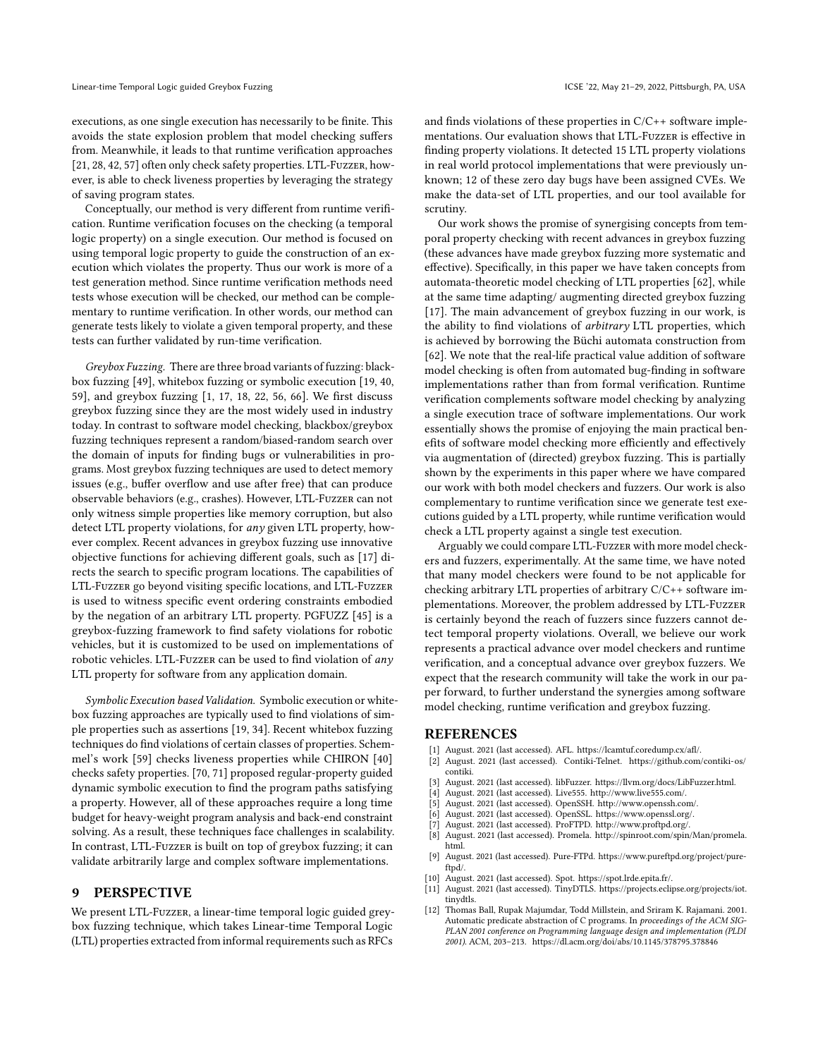executions, as one single execution has necessarily to be finite. This avoids the state explosion problem that model checking suffers from. Meanwhile, it leads to that runtime verification approaches [21, 28, 42, 57] often only check safety properties. LTL-Fuzzer, however, is able to check liveness properties by leveraging the strategy of saving program states.

Conceptually, our method is very different from runtime verification. Runtime verification focuses on the checking (a temporal logic property) on a single execution. Our method is focused on using temporal logic property to guide the construction of an execution which violates the property. Thus our work is more of a test generation method. Since runtime verification methods need tests whose execution will be checked, our method can be complementary to runtime verification. In other words, our method can generate tests likely to violate a given temporal property, and these tests can further validated by run-time verification.

Greybox Fuzzing. There are three broad variants of fuzzing: blackbox fuzzing [49], whitebox fuzzing or symbolic execution [19, 40, 59], and greybox fuzzing [1, 17, 18, 22, 56, 66]. We first discuss greybox fuzzing since they are the most widely used in industry today. In contrast to software model checking, blackbox/greybox fuzzing techniques represent a random/biased-random search over the domain of inputs for finding bugs or vulnerabilities in programs. Most greybox fuzzing techniques are used to detect memory issues (e.g., buffer overflow and use after free) that can produce observable behaviors (e.g., crashes). However, LTL-Fuzzer can not only witness simple properties like memory corruption, but also detect LTL property violations, for any given LTL property, however complex. Recent advances in greybox fuzzing use innovative objective functions for achieving different goals, such as [17] directs the search to specific program locations. The capabilities of LTL-Fuzzer go beyond visiting specific locations, and LTL-Fuzzer is used to witness specific event ordering constraints embodied by the negation of an arbitrary LTL property. PGFUZZ [45] is a greybox-fuzzing framework to find safety violations for robotic vehicles, but it is customized to be used on implementations of robotic vehicles. LTL-Fuzzer can be used to find violation of any LTL property for software from any application domain.

Symbolic Execution based Validation. Symbolic execution or whitebox fuzzing approaches are typically used to find violations of simple properties such as assertions [19, 34]. Recent whitebox fuzzing techniques do find violations of certain classes of properties. Schemmel's work [59] checks liveness properties while CHIRON [40] checks safety properties. [70, 71] proposed regular-property guided dynamic symbolic execution to find the program paths satisfying a property. However, all of these approaches require a long time budget for heavy-weight program analysis and back-end constraint solving. As a result, these techniques face challenges in scalability. In contrast, LTL-Fuzzer is built on top of greybox fuzzing; it can validate arbitrarily large and complex software implementations.

#### 9 PERSPECTIVE

We present LTL-Fuzzer, a linear-time temporal logic guided greybox fuzzing technique, which takes Linear-time Temporal Logic (LTL) properties extracted from informal requirements such as RFCs

and finds violations of these properties in C/C++ software implementations. Our evaluation shows that LTL-Fuzzer is effective in finding property violations. It detected 15 LTL property violations in real world protocol implementations that were previously unknown; 12 of these zero day bugs have been assigned CVEs. We make the data-set of LTL properties, and our tool available for scrutiny.

Our work shows the promise of synergising concepts from temporal property checking with recent advances in greybox fuzzing (these advances have made greybox fuzzing more systematic and effective). Specifically, in this paper we have taken concepts from automata-theoretic model checking of LTL properties [62], while at the same time adapting/ augmenting directed greybox fuzzing [17]. The main advancement of greybox fuzzing in our work, is the ability to find violations of arbitrary LTL properties, which is achieved by borrowing the Büchi automata construction from [62]. We note that the real-life practical value addition of software model checking is often from automated bug-finding in software implementations rather than from formal verification. Runtime verification complements software model checking by analyzing a single execution trace of software implementations. Our work essentially shows the promise of enjoying the main practical benefits of software model checking more efficiently and effectively via augmentation of (directed) greybox fuzzing. This is partially shown by the experiments in this paper where we have compared our work with both model checkers and fuzzers. Our work is also complementary to runtime verification since we generate test executions guided by a LTL property, while runtime verification would check a LTL property against a single test execution.

Arguably we could compare LTL-Fuzzer with more model checkers and fuzzers, experimentally. At the same time, we have noted that many model checkers were found to be not applicable for checking arbitrary LTL properties of arbitrary C/C++ software implementations. Moreover, the problem addressed by LTL-Fuzzer is certainly beyond the reach of fuzzers since fuzzers cannot detect temporal property violations. Overall, we believe our work represents a practical advance over model checkers and runtime verification, and a conceptual advance over greybox fuzzers. We expect that the research community will take the work in our paper forward, to further understand the synergies among software model checking, runtime verification and greybox fuzzing.

# REFERENCES

- [1] August. 2021 (last accessed). AFL. https://lcamtuf.coredump.cx/afl/.
- August. 2021 (last accessed). Contiki-Telnet. https://github.com/contiki-os/ contiki.
- [3] August. 2021 (last accessed). libFuzzer. https://llvm.org/docs/LibFuzzer.html.<br>[4] August. 2021 (last accessed). Live555. http://www.live555.com/.
- August. 2021 (last accessed). Live555. http://www.live555.com/.
- 
- [5] August. 2021 (last accessed). OpenSSH. http://www.openssh.com/. August. 2021 (last accessed). OpenSSL. https://www.openssl.org/.
- 
- [7] August. 2021 (last accessed). ProFTPD. http://www.proftpd.org/. August. 2021 (last accessed). Promela. http://spinroot.com/spin/Man/promela. html.
- [9] August. 2021 (last accessed). Pure-FTPd. https://www.pureftpd.org/project/pureftpd/.
- [10] August. 2021 (last accessed). Spot. https://spot.lrde.epita.fr/.
- August. 2021 (last accessed). TinyDTLS. https://projects.eclipse.org/projects/iot. tinydtls.
- [12] Thomas Ball, Rupak Majumdar, Todd Millstein, and Sriram K. Rajamani. 2001. Automatic predicate abstraction of C programs. In proceedings of the ACM SIG-PLAN 2001 conference on Programming language design and implementation (PLDI 2001). ACM, 203–213. https://dl.acm.org/doi/abs/10.1145/378795.378846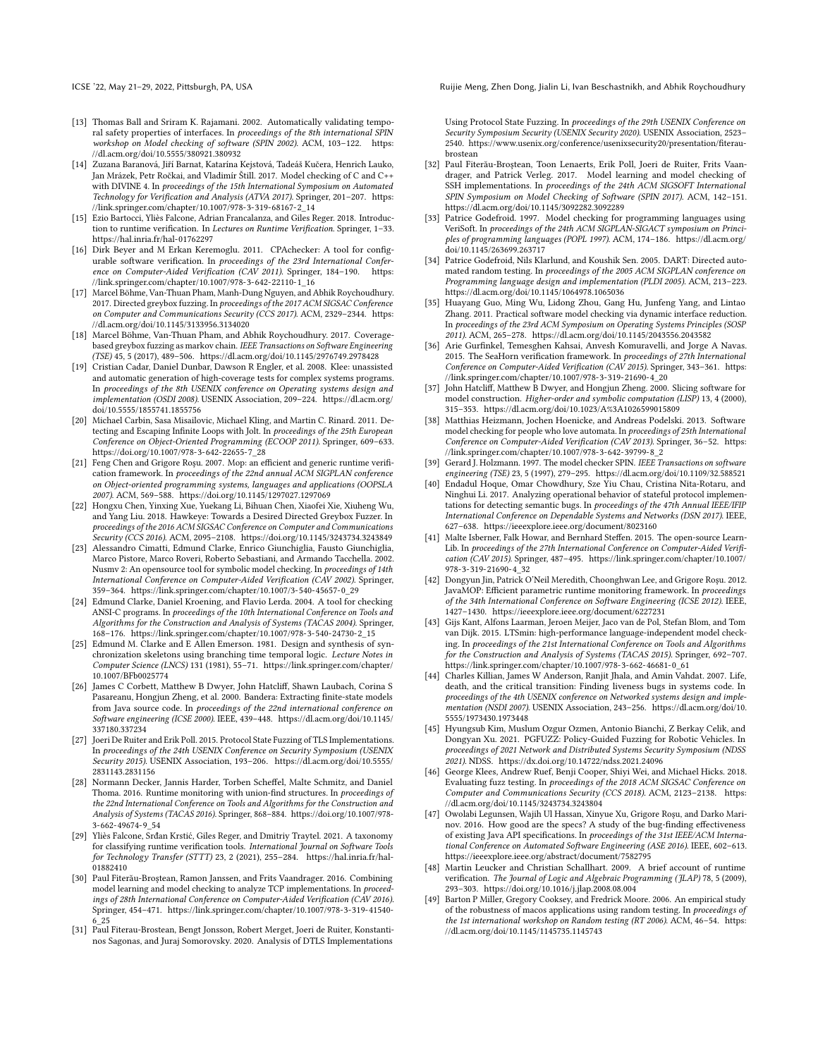- [13] Thomas Ball and Sriram K. Rajamani. 2002. Automatically validating temporal safety properties of interfaces. In proceedings of the 8th international SPIN workshop on Model checking of software (SPIN 2002). ACM, 103–122. https: //dl.acm.org/doi/10.5555/380921.380932
- [14] Zuzana Baranová, Jiří Barnat, Katarína Kejstová, Tadeáš Kučera, Henrich Lauko, Jan Mrázek, Petr Ročkai, and Vladimír Štill. 2017. Model checking of C and C++ with DIVINE 4. In proceedings of the 15th International Symposium on Automated Technology for Verification and Analysis (ATVA 2017). Springer, 201–207. https: //link.springer.com/chapter/10.1007/978-3-319-68167-2\_14
- [15] Ezio Bartocci, Yliès Falcone, Adrian Francalanza, and Giles Reger. 2018. Introduction to runtime verification. In Lectures on Runtime Verification. Springer, 1–33. https://hal.inria.fr/hal-01762297
- [16] Dirk Beyer and M Erkan Keremoglu. 2011. CPAchecker: A tool for configurable software verification. In proceedings of the 23rd International Conference on Computer-Aided Verification (CAV 2011). Springer, 184-190. https: //link.springer.com/chapter/10.1007/978-3-642-22110-1\_16
- [17] Marcel Böhme, Van-Thuan Pham, Manh-Dung Nguyen, and Abhik Roychoudhury. 2017. Directed greybox fuzzing. In proceedings of the 2017 ACM SIGSAC Conference on Computer and Communications Security (CCS 2017). ACM, 2329-2344. https: //dl.acm.org/doi/10.1145/3133956.3134020
- [18] Marcel Böhme, Van-Thuan Pham, and Abhik Roychoudhury. 2017. Coveragebased greybox fuzzing as markov chain. IEEE Transactions on Software Engineering (TSE) 45, 5 (2017), 489–506. https://dl.acm.org/doi/10.1145/2976749.2978428
- [19] Cristian Cadar, Daniel Dunbar, Dawson R Engler, et al. 2008. Klee: unassisted and automatic generation of high-coverage tests for complex systems programs. In proceedings of the 8th USENIX conference on Operating systems design and implementation (OSDI 2008). USENIX Association, 209–224. https://dl.acm.org/ doi/10.5555/1855741.1855756
- [20] Michael Carbin, Sasa Misailovic, Michael Kling, and Martin C. Rinard. 2011. Detecting and Escaping Infinite Loops with Jolt. In proceedings of the 25th European Conference on Object-Oriented Programming (ECOOP 2011). Springer, 609–633. https://doi.org/10.1007/978-3-642-22655-7\_28
- [21] Feng Chen and Grigore Roşu. 2007. Mop: an efficient and generic runtime verification framework. In proceedings of the 22nd annual ACM SIGPLAN conference on Object-oriented programming systems, languages and applications (OOPSLA 2007). ACM, 569–588. https://doi.org/10.1145/1297027.1297069
- [22] Hongxu Chen, Yinxing Xue, Yuekang Li, Bihuan Chen, Xiaofei Xie, Xiuheng Wu, and Yang Liu. 2018. Hawkeye: Towards a Desired Directed Greybox Fuzzer. In proceedings of the 2016 ACM SIGSAC Conference on Computer and Communications Security (CCS 2016). ACM, 2095–2108. https://doi.org/10.1145/3243734.3243849
- [23] Alessandro Cimatti, Edmund Clarke, Enrico Giunchiglia, Fausto Giunchiglia, Marco Pistore, Marco Roveri, Roberto Sebastiani, and Armando Tacchella. 2002. Nusmv 2: An opensource tool for symbolic model checking. In proceedings of 14th International Conference on Computer-Aided Verification (CAV 2002). Springer, 359–364. https://link.springer.com/chapter/10.1007/3-540-45657-0\_29
- [24] Edmund Clarke, Daniel Kroening, and Flavio Lerda. 2004. A tool for checking ANSI-C programs. In proceedings of the 10th International Conference on Tools and Algorithms for the Construction and Analysis of Systems (TACAS 2004). Springer, 168–176. https://link.springer.com/chapter/10.1007/978-3-540-24730-2\_15
- [25] Edmund M. Clarke and E Allen Emerson. 1981. Design and synthesis of synchronization skeletons using branching time temporal logic. Lecture Notes in Computer Science (LNCS) 131 (1981), 55–71. https://link.springer.com/chapter/ 10.1007/BFb0025774
- [26] James C Corbett, Matthew B Dwyer, John Hatcliff, Shawn Laubach, Corina S Pasareanu, Hongjun Zheng, et al. 2000. Bandera: Extracting finite-state models from Java source code. In proceedings of the 22nd international conference on Software engineering (ICSE 2000). IEEE, 439–448. https://dl.acm.org/doi/10.1145/ 337180.337234
- [27] Joeri De Ruiter and Erik Poll. 2015. Protocol State Fuzzing of TLS Implementations. In proceedings of the 24th USENIX Conference on Security Symposium (USENIX Security 2015). USENIX Association, 193–206. https://dl.acm.org/doi/10.5555/ 2831143.2831156
- [28] Normann Decker, Jannis Harder, Torben Scheffel, Malte Schmitz, and Daniel Thoma. 2016. Runtime monitoring with union-find structures. In proceedings of the 22nd International Conference on Tools and Algorithms for the Construction and Analysis of Systems (TACAS 2016). Springer, 868–884. https://doi.org/10.1007/978- 3-662-49674-9\_54
- [29] Yliès Falcone, Srđan Krstić, Giles Reger, and Dmitriy Traytel. 2021. A taxonomy for classifying runtime verification tools. International Journal on Software Tools for Technology Transfer (STTT) 23, 2 (2021), 255–284. https://hal.inria.fr/hal-01882410
- [30] Paul Fiterău-Broştean, Ramon Janssen, and Frits Vaandrager. 2016. Combining model learning and model checking to analyze TCP implementations. In proceed ings of 28th International Conference on Computer-Aided Verification (CAV 2016). Springer, 454–471. https://link.springer.com/chapter/10.1007/978-3-319-41540- 6\_25
- [31] Paul Fiterau-Brostean, Bengt Jonsson, Robert Merget, Joeri de Ruiter, Konstantinos Sagonas, and Juraj Somorovsky. 2020. Analysis of DTLS Implementations

ICSE '22, May 21–29, 2022, Pittsburgh, PA, USA Ruijie Meng, Zhen Dong, Jialin Li, Ivan Beschastnikh, and Abhik Roychoudhury

Using Protocol State Fuzzing. In proceedings of the 29th USENIX Conference on Security Symposium Security (USENIX Security 2020). USENIX Association, 2523– 2540. https://www.usenix.org/conference/usenixsecurity20/presentation/fiteraubrostean

- [32] Paul Fiterău-Broştean, Toon Lenaerts, Erik Poll, Joeri de Ruiter, Frits Vaandrager, and Patrick Verleg. 2017. Model learning and model checking of SSH implementations. In proceedings of the 24th ACM SIGSOFT International SPIN Symposium on Model Checking of Software (SPIN 2017). ACM, 142–151. https://dl.acm.org/doi/10.1145/3092282.3092289
- [33] Patrice Godefroid. 1997. Model checking for programming languages using VeriSoft. In proceedings of the 24th ACM SIGPLAN-SIGACT symposium on Principles of programming languages (POPL 1997). ACM, 174–186. https://dl.acm.org/ doi/10.1145/263699.263717
- [34] Patrice Godefroid, Nils Klarlund, and Koushik Sen. 2005. DART: Directed automated random testing. In proceedings of the 2005 ACM SIGPLAN conference on Programming language design and implementation (PLDI 2005). ACM, 213–223. https://dl.acm.org/doi/10.1145/1064978.1065036
- [35] Huayang Guo, Ming Wu, Lidong Zhou, Gang Hu, Junfeng Yang, and Lintao Zhang. 2011. Practical software model checking via dynamic interface reduction. In proceedings of the 23rd ACM Symposium on Operating Systems Principles (SOSP 2011). ACM, 265–278. https://dl.acm.org/doi/10.1145/2043556.2043582
- [36] Arie Gurfinkel, Temesghen Kahsai, Anvesh Komuravelli, and Jorge A Navas. 2015. The SeaHorn verification framework. In proceedings of 27th International Conference on Computer-Aided Verification (CAV 2015). Springer, 343–361. https: //link.springer.com/chapter/10.1007/978-3-319-21690-4\_20
- [37] John Hatcliff, Matthew B Dwyer, and Hongjun Zheng. 2000. Slicing software for model construction. Higher-order and symbolic computation (LISP) 13, 4 (2000), 315–353. https://dl.acm.org/doi/10.1023/A%3A1026599015809
- [38] Matthias Heizmann, Jochen Hoenicke, and Andreas Podelski. 2013. Software model checking for people who love automata. In proceedings of 25th International Conference on Computer-Aided Verification (CAV 2013). Springer, 36–52. https: //link.springer.com/chapter/10.1007/978-3-642-39799-8\_2
- [39] Gerard I. Holzmann. 1997. The model checker SPIN. IEEE Transactions on software engineering (TSE) 23, 5 (1997), 279–295. https://dl.acm.org/doi/10.1109/32.588521
- [40] Endadul Hoque, Omar Chowdhury, Sze Yiu Chau, Cristina Nita-Rotaru, and Ninghui Li. 2017. Analyzing operational behavior of stateful protocol implementations for detecting semantic bugs. In proceedings of the 47th Annual IEEE/IFIP International Conference on Dependable Systems and Networks (DSN 2017). IEEE, 627–638. https://ieeexplore.ieee.org/document/8023160
- [41] Malte Isberner, Falk Howar, and Bernhard Steffen. 2015. The open-source Learn-Lib. In proceedings of the 27th International Conference on Computer-Aided Verification (CAV 2015). Springer, 487–495. https://link.springer.com/chapter/10.1007/ 978-3-319-21690-4\_32
- [42] Dongyun Jin, Patrick O'Neil Meredith, Choonghwan Lee, and Grigore Roşu. 2012. JavaMOP: Efficient parametric runtime monitoring framework. In proceedings of the 34th International Conference on Software Engineering (ICSE 2012). IEEE, 1427–1430. https://ieeexplore.ieee.org/document/6227231
- [43] Gijs Kant, Alfons Laarman, Jeroen Meijer, Jaco van de Pol, Stefan Blom, and Tom van Dijk. 2015. LTSmin: high-performance language-independent model checking. In proceedings of the 21st International Conference on Tools and Algorithms for the Construction and Analysis of Systems (TACAS 2015). Springer, 692–707. https://link.springer.com/chapter/10.1007/978-3-662-46681-0\_61
- [44] Charles Killian, James W Anderson, Ranjit Jhala, and Amin Vahdat. 2007. Life, death, and the critical transition: Finding liveness bugs in systems code. In proceedings of the 4th USENIX conference on Networked systems design and implementation (NSDI 2007). USENIX Association, 243–256. https://dl.acm.org/doi/10. 5555/1973430.1973448
- [45] Hyungsub Kim, Muslum Ozgur Ozmen, Antonio Bianchi, Z Berkay Celik, and Dongyan Xu. 2021. PGFUZZ: Policy-Guided Fuzzing for Robotic Vehicles. In proceedings of 2021 Network and Distributed Systems Security Symposium (NDSS 2021). NDSS. https://dx.doi.org/10.14722/ndss.2021.24096
- [46] George Klees, Andrew Ruef, Benji Cooper, Shiyi Wei, and Michael Hicks. 2018. Evaluating fuzz testing. In proceedings of the 2018 ACM SIGSAC Conference on Computer and Communications Security (CCS 2018). ACM, 2123–2138. https: //dl.acm.org/doi/10.1145/3243734.3243804
- [47] Owolabi Legunsen, Wajih Ul Hassan, Xinyue Xu, Grigore Roşu, and Darko Marinov. 2016. How good are the specs? A study of the bug-finding effectiveness of existing Java API specifications. In proceedings of the 31st IEEE/ACM International Conference on Automated Software Engineering (ASE 2016). IEEE, 602–613. https://ieeexplore.ieee.org/abstract/document/7582795
- [48] Martin Leucker and Christian Schallhart. 2009. A brief account of runtime verification. The Journal of Logic and Algebraic Programming (JLAP) 78, 5 (2009), 293–303. https://doi.org/10.1016/j.jlap.2008.08.004
- [49] Barton P Miller, Gregory Cooksey, and Fredrick Moore. 2006. An empirical study of the robustness of macos applications using random testing. In proceedings of the 1st international workshop on Random testing (RT 2006). ACM, 46–54. https: //dl.acm.org/doi/10.1145/1145735.1145743